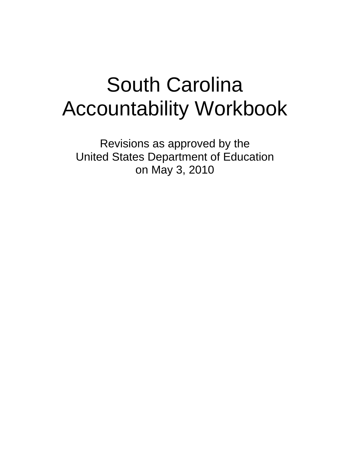# South Carolina Accountability Workbook

Revisions as approved by the United States Department of Education on May 3, 2010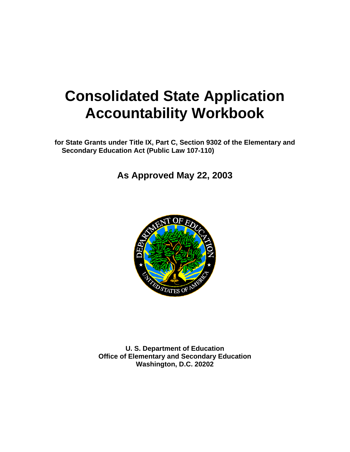## **Consolidated State Application Accountability Workbook**

**for State Grants under Title IX, Part C, Section 9302 of the Elementary and Secondary Education Act (Public Law 107-110)** 

**As Approved May 22, 2003**



**U. S. Department of Education Office of Elementary and Secondary Education Washington, D.C. 20202**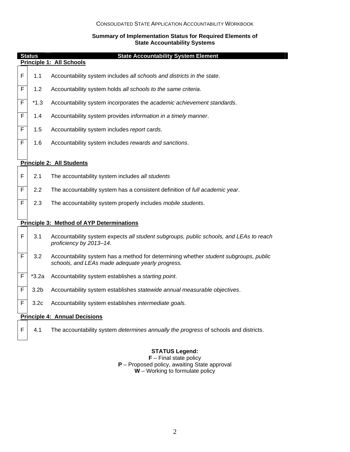#### **Summary of Implementation Status for Required Elements of State Accountability Systems**

| <b>Status</b><br><b>State Accountability System Element</b> |                                      |                                                                                                                                          |  |  |
|-------------------------------------------------------------|--------------------------------------|------------------------------------------------------------------------------------------------------------------------------------------|--|--|
|                                                             |                                      | Principle 1: All Schools                                                                                                                 |  |  |
| F                                                           | 1.1                                  | Accountability system includes all schools and districts in the state.                                                                   |  |  |
| F                                                           | 1.2                                  | Accountability system holds all schools to the same criteria.                                                                            |  |  |
| F                                                           | *1.3                                 | Accountability system incorporates the academic achievement standards.                                                                   |  |  |
| F                                                           | 1.4                                  | Accountability system provides information in a timely manner.                                                                           |  |  |
| F                                                           | 1.5                                  | Accountability system includes report cards.                                                                                             |  |  |
| F                                                           | 1.6                                  | Accountability system includes rewards and sanctions.                                                                                    |  |  |
|                                                             |                                      |                                                                                                                                          |  |  |
|                                                             |                                      | Principle 2: All Students                                                                                                                |  |  |
| F                                                           | 2.1                                  | The accountability system includes all students                                                                                          |  |  |
| F                                                           | 2.2                                  | The accountability system has a consistent definition of full academic year.                                                             |  |  |
| F                                                           | 2.3                                  | The accountability system properly includes mobile students.                                                                             |  |  |
|                                                             |                                      |                                                                                                                                          |  |  |
|                                                             |                                      | <b>Principle 3: Method of AYP Determinations</b>                                                                                         |  |  |
| F                                                           | 3.1                                  | Accountability system expects all student subgroups, public schools, and LEAs to reach<br>proficiency by 2013-14.                        |  |  |
| F                                                           | 3.2                                  | Accountability system has a method for determining whether student subgroups, public<br>schools, and LEAs made adequate yearly progress. |  |  |
| F                                                           | $*3.2a$                              | Accountability system establishes a starting point.                                                                                      |  |  |
| F                                                           | 3.2 <sub>b</sub>                     | Accountability system establishes statewide annual measurable objectives.                                                                |  |  |
| F                                                           | 3.2 <sub>c</sub>                     | Accountability system establishes intermediate goals.                                                                                    |  |  |
|                                                             | <b>Principle 4: Annual Decisions</b> |                                                                                                                                          |  |  |
| F                                                           | 4.1                                  | The accountability system determines annually the progress of schools and districts.                                                     |  |  |

#### **STATUS Legend:**

**F** – Final state policy **P** – Proposed policy, awaiting State approval **W** – Working to formulate policy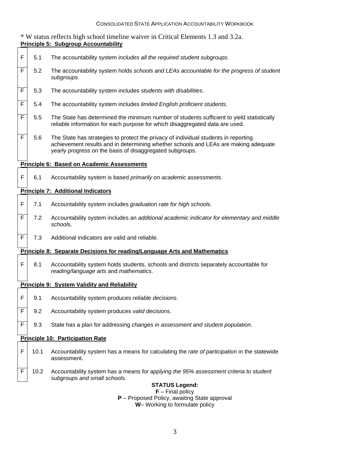|              | * W status reflects high school timeline waiver in Critical Elements 1.3 and 3.2a.<br><b>Principle 5: Subgroup Accountability</b> |                                                                                                                                                                                                                                        |  |  |  |
|--------------|-----------------------------------------------------------------------------------------------------------------------------------|----------------------------------------------------------------------------------------------------------------------------------------------------------------------------------------------------------------------------------------|--|--|--|
| F            | 5.1                                                                                                                               | The accountability system includes all the required student subgroups.                                                                                                                                                                 |  |  |  |
| F            | 5.2                                                                                                                               | The accountability system holds schools and LEAs accountable for the progress of student<br>subgroups.                                                                                                                                 |  |  |  |
| F            | 5.3                                                                                                                               | The accountability system includes students with disabilities.                                                                                                                                                                         |  |  |  |
| F            | 5.4                                                                                                                               | The accountability system includes limited English proficient students.                                                                                                                                                                |  |  |  |
| F            | 5.5                                                                                                                               | The State has determined the minimum number of students sufficient to yield statistically<br>reliable information for each purpose for which disaggregated data are used.                                                              |  |  |  |
| F            | 5.6                                                                                                                               | The State has strategies to protect the privacy of individual students in reporting<br>achievement results and in determining whether schools and LEAs are making adequate<br>yearly progress on the basis of disaggregated subgroups. |  |  |  |
|              |                                                                                                                                   | <b>Principle 6: Based on Academic Assessments</b>                                                                                                                                                                                      |  |  |  |
| F            | 6.1                                                                                                                               | Accountability system is based primarily on academic assessments.                                                                                                                                                                      |  |  |  |
|              |                                                                                                                                   | <b>Principle 7: Additional Indicators</b>                                                                                                                                                                                              |  |  |  |
| F            | 7.1                                                                                                                               | Accountability system includes graduation rate for high schools.                                                                                                                                                                       |  |  |  |
| F            | 7.2                                                                                                                               | Accountability system includes an additional academic indicator for elementary and middle<br>schools.                                                                                                                                  |  |  |  |
| F            | 7.3                                                                                                                               | Additional indicators are valid and reliable.                                                                                                                                                                                          |  |  |  |
|              |                                                                                                                                   | <b>Principle 8: Separate Decisions for reading/Language Arts and Mathematics</b>                                                                                                                                                       |  |  |  |
| $\mathsf{F}$ | 8.1                                                                                                                               | Accountability system holds students, schools and districts separately accountable for<br>reading/language arts and mathematics.                                                                                                       |  |  |  |
|              |                                                                                                                                   | Principle 9: System Validity and Reliability                                                                                                                                                                                           |  |  |  |
| F            | 9.1                                                                                                                               | Accountability system produces reliable decisions.                                                                                                                                                                                     |  |  |  |
| F            | 9.2                                                                                                                               | Accountability system produces valid decisions.                                                                                                                                                                                        |  |  |  |
| F            | 9.3                                                                                                                               | State has a plan for addressing changes in assessment and student population.                                                                                                                                                          |  |  |  |
|              | <b>Principle 10: Participation Rate</b>                                                                                           |                                                                                                                                                                                                                                        |  |  |  |
| F            | 10.1                                                                                                                              | Accountability system has a means for calculating the rate of participation in the statewide<br>assessment.                                                                                                                            |  |  |  |
| F            | 10.2                                                                                                                              | Accountability system has a means for applying the 95% assessment criteria to student<br>subgroups and small schools.                                                                                                                  |  |  |  |
|              | <b>STATUS Legend:</b><br>$F$ – Final policy                                                                                       |                                                                                                                                                                                                                                        |  |  |  |
|              |                                                                                                                                   | P - Proposed Policy, awaiting State approval                                                                                                                                                                                           |  |  |  |

**W**– Working to formulate policy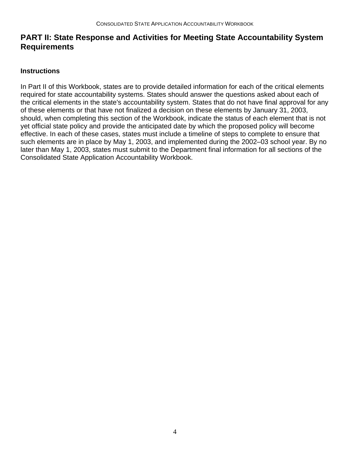## **PART II: State Response and Activities for Meeting State Accountability System Requirements**

#### **Instructions**

In Part II of this Workbook, states are to provide detailed information for each of the critical elements required for state accountability systems. States should answer the questions asked about each of the critical elements in the state's accountability system. States that do not have final approval for any of these elements or that have not finalized a decision on these elements by January 31, 2003, should, when completing this section of the Workbook, indicate the status of each element that is not yet official state policy and provide the anticipated date by which the proposed policy will become effective. In each of these cases, states must include a timeline of steps to complete to ensure that such elements are in place by May 1, 2003, and implemented during the 2002–03 school year. By no later than May 1, 2003, states must submit to the Department final information for all sections of the Consolidated State Application Accountability Workbook.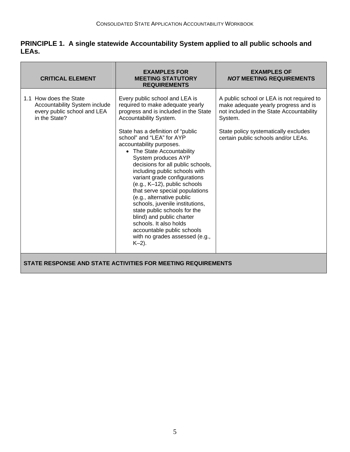#### **PRINCIPLE 1. A single statewide Accountability System applied to all public schools and LEAs.**

| <b>CRITICAL ELEMENT</b>                                                                                 | <b>EXAMPLES FOR</b><br><b>MEETING STATUTORY</b><br><b>REQUIREMENTS</b>                                                                                                                                                                                                                                                                                                                                                                                                                                                                                                                                                                                                                              | <b>EXAMPLES OF</b><br><b>NOT MEETING REQUIREMENTS</b>                                                                                                                                                                   |  |
|---------------------------------------------------------------------------------------------------------|-----------------------------------------------------------------------------------------------------------------------------------------------------------------------------------------------------------------------------------------------------------------------------------------------------------------------------------------------------------------------------------------------------------------------------------------------------------------------------------------------------------------------------------------------------------------------------------------------------------------------------------------------------------------------------------------------------|-------------------------------------------------------------------------------------------------------------------------------------------------------------------------------------------------------------------------|--|
| 1.1 How does the State<br>Accountability System include<br>every public school and LEA<br>in the State? | Every public school and LEA is<br>required to make adequate yearly<br>progress and is included in the State<br>Accountability System.<br>State has a definition of "public<br>school" and "LEA" for AYP<br>accountability purposes.<br>• The State Accountability<br>System produces AYP<br>decisions for all public schools,<br>including public schools with<br>variant grade configurations<br>(e.g., K-12), public schools<br>that serve special populations<br>(e.g., alternative public<br>schools, juvenile institutions,<br>state public schools for the<br>blind) and public charter<br>schools. It also holds<br>accountable public schools<br>with no grades assessed (e.g.,<br>$K-2$ ). | A public school or LEA is not required to<br>make adequate yearly progress and is<br>not included in the State Accountability<br>System.<br>State policy systematically excludes<br>certain public schools and/or LEAs. |  |
| STATE RESPONSE AND STATE ACTIVITIES FOR MEETING REQUIREMENTS                                            |                                                                                                                                                                                                                                                                                                                                                                                                                                                                                                                                                                                                                                                                                                     |                                                                                                                                                                                                                         |  |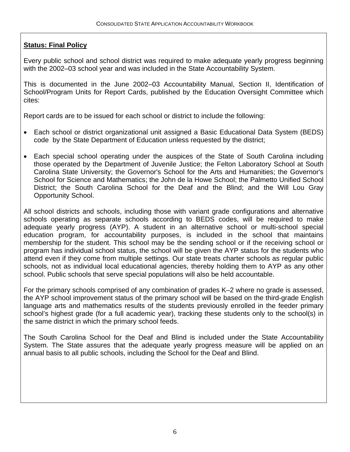Every public school and school district was required to make adequate yearly progress beginning with the 2002–03 school year and was included in the State Accountability System.

This is documented in the June 2002–03 Accountability Manual, Section II, Identification of School/Program Units for Report Cards, published by the Education Oversight Committee which cites:

Report cards are to be issued for each school or district to include the following:

- Each school or district organizational unit assigned a Basic Educational Data System (BEDS) code by the State Department of Education unless requested by the district;
- Each special school operating under the auspices of the State of South Carolina including those operated by the Department of Juvenile Justice; the Felton Laboratory School at South Carolina State University; the Governor's School for the Arts and Humanities; the Governor's School for Science and Mathematics; the John de la Howe School; the Palmetto Unified School District; the South Carolina School for the Deaf and the Blind; and the Will Lou Gray Opportunity School.

All school districts and schools, including those with variant grade configurations and alternative schools operating as separate schools according to BEDS codes, will be required to make adequate yearly progress (AYP). A student in an alternative school or multi-school special education program, for accountability purposes, is included in the school that maintains membership for the student. This school may be the sending school or if the receiving school or program has individual school status, the school will be given the AYP status for the students who attend even if they come from multiple settings. Our state treats charter schools as regular public schools, not as individual local educational agencies, thereby holding them to AYP as any other school. Public schools that serve special populations will also be held accountable.

For the primary schools comprised of any combination of grades K–2 where no grade is assessed, the AYP school improvement status of the primary school will be based on the third-grade English language arts and mathematics results of the students previously enrolled in the feeder primary school's highest grade (for a full academic year), tracking these students only to the school(s) in the same district in which the primary school feeds.

The South Carolina School for the Deaf and Blind is included under the State Accountability System. The State assures that the adequate yearly progress measure will be applied on an annual basis to all public schools, including the School for the Deaf and Blind.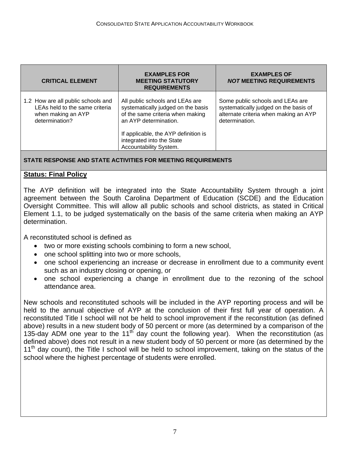| <b>CRITICAL ELEMENT</b>                                                                                      | <b>EXAMPLES FOR</b><br><b>MEETING STATUTORY</b><br><b>REQUIREMENTS</b>                                                                                                                                                            | <b>EXAMPLES OF</b><br><b>NOT MEETING REQUIREMENTS</b>                                                                                |
|--------------------------------------------------------------------------------------------------------------|-----------------------------------------------------------------------------------------------------------------------------------------------------------------------------------------------------------------------------------|--------------------------------------------------------------------------------------------------------------------------------------|
| 1.2 How are all public schools and<br>LEAs held to the same criteria<br>when making an AYP<br>determination? | All public schools and LEAs are<br>systematically judged on the basis<br>of the same criteria when making<br>an AYP determination.<br>If applicable, the AYP definition is<br>integrated into the State<br>Accountability System. | Some public schools and LEAs are<br>systematically judged on the basis of<br>alternate criteria when making an AYP<br>determination. |
|                                                                                                              |                                                                                                                                                                                                                                   |                                                                                                                                      |

#### **STATE RESPONSE AND STATE ACTIVITIES FOR MEETING REQUIREMENTS**

#### **Status: Final Policy**

The AYP definition will be integrated into the State Accountability System through a joint agreement between the South Carolina Department of Education (SCDE) and the Education Oversight Committee. This will allow all public schools and school districts, as stated in Critical Element 1.1, to be judged systematically on the basis of the same criteria when making an AYP determination.

A reconstituted school is defined as

- two or more existing schools combining to form a new school,
- one school splitting into two or more schools,
- one school experiencing an increase or decrease in enrollment due to a community event such as an industry closing or opening, or
- one school experiencing a change in enrollment due to the rezoning of the school attendance area.

New schools and reconstituted schools will be included in the AYP reporting process and will be held to the annual objective of AYP at the conclusion of their first full year of operation. A reconstituted Title I school will not be held to school improvement if the reconstitution (as defined above) results in a new student body of 50 percent or more (as determined by a comparison of the 135-day ADM one year to the 11<sup>th</sup> day count the following year). When the reconstitution (as defined above) does not result in a new student body of 50 percent or more (as determined by the  $11<sup>th</sup>$  day count), the Title I school will be held to school improvement, taking on the status of the school where the highest percentage of students were enrolled.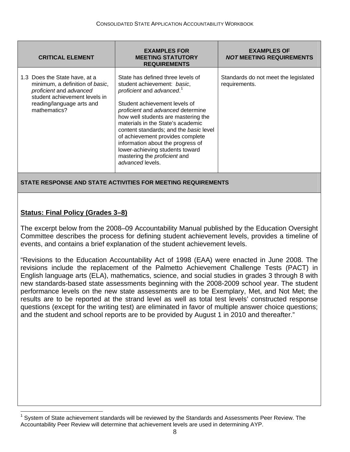| <b>CRITICAL ELEMENT</b>                                                                                                                                                   | <b>EXAMPLES FOR</b><br><b>MEETING STATUTORY</b><br><b>REQUIREMENTS</b>                                                                                                                                                                                                                                                                                                                                                                                                | <b>EXAMPLES OF</b><br><b>NOT MEETING REQUIREMENTS</b> |
|---------------------------------------------------------------------------------------------------------------------------------------------------------------------------|-----------------------------------------------------------------------------------------------------------------------------------------------------------------------------------------------------------------------------------------------------------------------------------------------------------------------------------------------------------------------------------------------------------------------------------------------------------------------|-------------------------------------------------------|
| 1.3 Does the State have, at a<br>minimum, a definition of basic,<br>proficient and advanced<br>student achievement levels in<br>reading/language arts and<br>mathematics? | State has defined three levels of<br>student achievement: basic,<br>proficient and advanced. <sup>1</sup><br>Student achievement levels of<br>proficient and advanced determine<br>how well students are mastering the<br>materials in the State's academic<br>content standards; and the basic level<br>of achievement provides complete<br>information about the progress of<br>lower-achieving students toward<br>mastering the proficient and<br>advanced levels. | Standards do not meet the legislated<br>requirements. |
|                                                                                                                                                                           |                                                                                                                                                                                                                                                                                                                                                                                                                                                                       |                                                       |

**STATE RESPONSE AND STATE ACTIVITIES FOR MEETING REQUIREMENTS** 

#### **Status: Final Policy (Grades 3–8)**

 $\overline{\phantom{a}}$ 

The excerpt below from the 2008–09 Accountability Manual published by the Education Oversight Committee describes the process for defining student achievement levels, provides a timeline of events, and contains a brief explanation of the student achievement levels.

"Revisions to the Education Accountability Act of 1998 (EAA) were enacted in June 2008. The revisions include the replacement of the Palmetto Achievement Challenge Tests (PACT) in English language arts (ELA), mathematics, science, and social studies in grades 3 through 8 with new standards-based state assessments beginning with the 2008-2009 school year. The student performance levels on the new state assessments are to be Exemplary, Met, and Not Met; the results are to be reported at the strand level as well as total test levels' constructed response questions (except for the writing test) are eliminated in favor of multiple answer choice questions; and the student and school reports are to be provided by August 1 in 2010 and thereafter."

<span id="page-8-0"></span><sup>1</sup> System of State achievement standards will be reviewed by the Standards and Assessments Peer Review. The Accountability Peer Review will determine that achievement levels are used in determining AYP.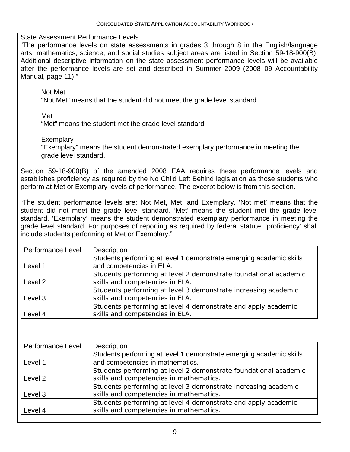State Assessment Performance Levels

"The performance levels on state assessments in grades 3 through 8 in the English/language arts, mathematics, science, and social studies subject areas are listed in Section 59-18-900(B). Additional descriptive information on the state assessment performance levels will be available after the performance levels are set and described in Summer 2009 (2008–09 Accountability Manual, page 11)."

Not Met

"Not Met" means that the student did not meet the grade level standard.

Met

"Met" means the student met the grade level standard.

**Exemplary** 

 "Exemplary" means the student demonstrated exemplary performance in meeting the grade level standard.

Section 59-18-900(B) of the amended 2008 EAA requires these performance levels and establishes proficiency as required by the No Child Left Behind legislation as those students who perform at Met or Exemplary levels of performance. The excerpt below is from this section.

"The student performance levels are: Not Met, Met, and Exemplary. 'Not met' means that the student did not meet the grade level standard. 'Met' means the student met the grade level standard. 'Exemplary' means the student demonstrated exemplary performance in meeting the grade level standard. For purposes of reporting as required by federal statute, 'proficiency' shall include students performing at Met or Exemplary."

| Performance Level | <b>Description</b>                                                  |
|-------------------|---------------------------------------------------------------------|
|                   | Students performing at level 1 demonstrate emerging academic skills |
| Level 1           | and competencies in ELA.                                            |
|                   | Students performing at level 2 demonstrate foundational academic    |
| Level 2           | skills and competencies in ELA.                                     |
|                   | Students performing at level 3 demonstrate increasing academic      |
| Level 3           | skills and competencies in ELA.                                     |
|                   | Students performing at level 4 demonstrate and apply academic       |
| Level 4           | skills and competencies in ELA.                                     |

| Performance Level | <b>Description</b>                                                  |
|-------------------|---------------------------------------------------------------------|
|                   | Students performing at level 1 demonstrate emerging academic skills |
| Level 1           | and competencies in mathematics.                                    |
|                   | Students performing at level 2 demonstrate foundational academic    |
| Level 2           | skills and competencies in mathematics.                             |
|                   | Students performing at level 3 demonstrate increasing academic      |
| Level 3           | skills and competencies in mathematics.                             |
|                   | Students performing at level 4 demonstrate and apply academic       |
| Level 4           | skills and competencies in mathematics.                             |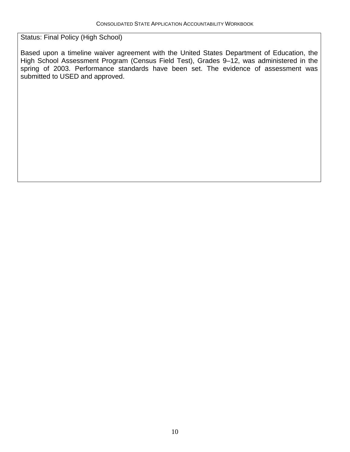Status: Final Policy (High School)

Based upon a timeline waiver agreement with the United States Department of Education, the High School Assessment Program (Census Field Test), Grades 9-12, was administered in the spring of 2003. Performance standards have been set. The evidence of assessment was submitted to USED and approved.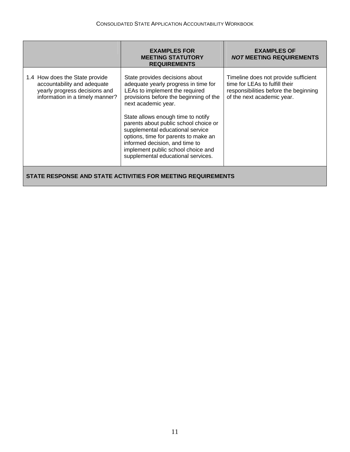|                                                                                                                                   | <b>EXAMPLES FOR</b><br><b>MEETING STATUTORY</b><br><b>REQUIREMENTS</b>                                                                                                                                                                                                                                                                                                                                                                             | <b>EXAMPLES OF</b><br><i>NOT</i> MEETING REQUIREMENTS                                                                                         |  |
|-----------------------------------------------------------------------------------------------------------------------------------|----------------------------------------------------------------------------------------------------------------------------------------------------------------------------------------------------------------------------------------------------------------------------------------------------------------------------------------------------------------------------------------------------------------------------------------------------|-----------------------------------------------------------------------------------------------------------------------------------------------|--|
| 1.4 How does the State provide<br>accountability and adequate<br>yearly progress decisions and<br>information in a timely manner? | State provides decisions about<br>adequate yearly progress in time for<br>LEAs to implement the required<br>provisions before the beginning of the<br>next academic year.<br>State allows enough time to notify<br>parents about public school choice or<br>supplemental educational service<br>options, time for parents to make an<br>informed decision, and time to<br>implement public school choice and<br>supplemental educational services. | Timeline does not provide sufficient<br>time for LEAs to fulfill their<br>responsibilities before the beginning<br>of the next academic year. |  |
| STATE RESPONSE AND STATE ACTIVITIES FOR MEETING REQUIREMENTS                                                                      |                                                                                                                                                                                                                                                                                                                                                                                                                                                    |                                                                                                                                               |  |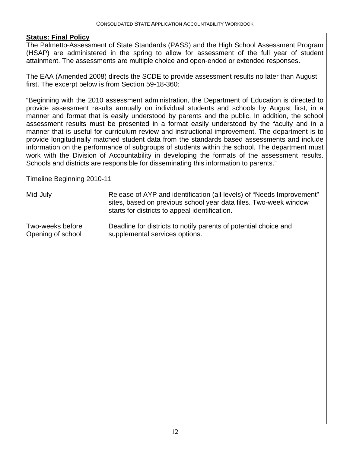The Palmetto-Assessment of State Standards (PASS) and the High School Assessment Program (HSAP) are administered in the spring to allow for assessment of the full year of student attainment. The assessments are multiple choice and open-ended or extended responses.

The EAA (Amended 2008) directs the SCDE to provide assessment results no later than August first. The excerpt below is from Section 59-18-360:

"Beginning with the 2010 assessment administration, the Department of Education is directed to provide assessment results annually on individual students and schools by August first, in a manner and format that is easily understood by parents and the public. In addition, the school assessment results must be presented in a format easily understood by the faculty and in a manner that is useful for curriculum review and instructional improvement. The department is to provide longitudinally matched student data from the standards based assessments and include information on the performance of subgroups of students within the school. The department must work with the Division of Accountability in developing the formats of the assessment results. Schools and districts are responsible for disseminating this information to parents."

Timeline Beginning 2010-11

Mid-July Release of AYP and identification (all levels) of "Needs Improvement" sites, based on previous school year data files. Two-week window starts for districts to appeal identification.

Two-weeks before Deadline for districts to notify parents of potential choice and Opening of school supplemental services options.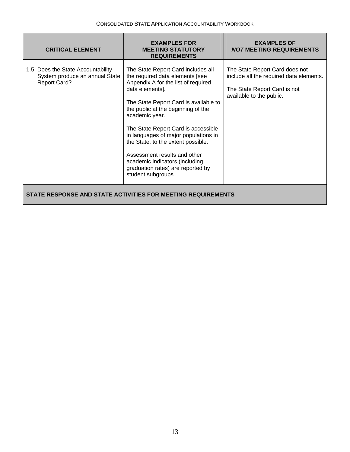| <b>CRITICAL ELEMENT</b>                                                                    | <b>EXAMPLES FOR</b><br><b>MEETING STATUTORY</b><br><b>REQUIREMENTS</b>                                                                                                                                                                                                                                                                                                                                                                                                            | <b>EXAMPLES OF</b><br><b>NOT MEETING REQUIREMENTS</b>                                                                                 |  |
|--------------------------------------------------------------------------------------------|-----------------------------------------------------------------------------------------------------------------------------------------------------------------------------------------------------------------------------------------------------------------------------------------------------------------------------------------------------------------------------------------------------------------------------------------------------------------------------------|---------------------------------------------------------------------------------------------------------------------------------------|--|
| 1.5 Does the State Accountability<br>System produce an annual State<br><b>Report Card?</b> | The State Report Card includes all<br>the required data elements [see<br>Appendix A for the list of required<br>data elements].<br>The State Report Card is available to<br>the public at the beginning of the<br>academic year.<br>The State Report Card is accessible<br>in languages of major populations in<br>the State, to the extent possible.<br>Assessment results and other<br>academic indicators (including<br>graduation rates) are reported by<br>student subgroups | The State Report Card does not<br>include all the required data elements.<br>The State Report Card is not<br>available to the public. |  |
| STATE RESPONSE AND STATE ACTIVITIES FOR MEETING REQUIREMENTS                               |                                                                                                                                                                                                                                                                                                                                                                                                                                                                                   |                                                                                                                                       |  |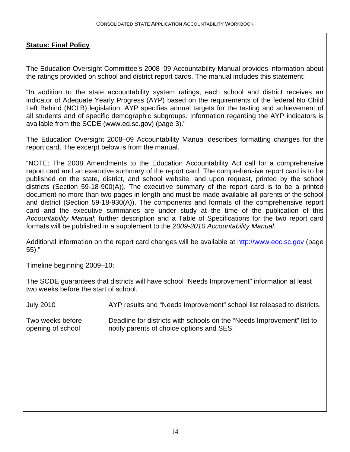The Education Oversight Committee's 2008–09 Accountability Manual provides information about the ratings provided on school and district report cards. The manual includes this statement:

"In addition to the state accountability system ratings, each school and district receives an indicator of Adequate Yearly Progress (AYP) based on the requirements of the federal No Child Left Behind (NCLB) legislation. AYP specifies annual targets for the testing and achievement of all students and of specific demographic subgroups. Information regarding the AYP indicators is available from the SCDE (www.ed.sc.gov) (page 3)."

The Education Oversight 2008–09 Accountability Manual describes formatting changes for the report card. The excerpt below is from the manual.

"NOTE: The 2008 Amendments to the Education Accountability Act call for a comprehensive report card and an executive summary of the report card. The comprehensive report card is to be published on the state, district, and school website, and upon request, printed by the school districts (Section 59-18-900(A)). The executive summary of the report card is to be a printed document no more than two pages in length and must be made available all parents of the school and district (Section 59-18-930(A)). The components and formats of the comprehensive report card and the executive summaries are under study at the time of the publication of this *Accountability Manual*; further description and a Table of Specifications for the two report card formats will be published in a supplement to the *2009-2010 Accountability Manual*.

Additional information on the report card changes will be available at [http://www.eoc.sc.gov](http://www.eoc.sc.gov/) (page 55)."

Timeline beginning 2009–10:

The SCDE guarantees that districts will have school "Needs Improvement" information at least two weeks before the start of school.

July 2010 AYP results and "Needs Improvement" school list released to districts.

Two weeks before Deadline for districts with schools on the "Needs Improvement" list to opening of school notify parents of choice options and SES.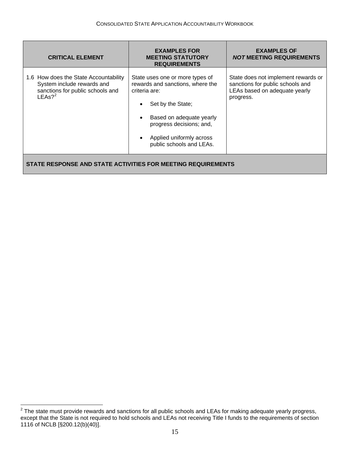<span id="page-15-0"></span>

| <b>CRITICAL ELEMENT</b>                                                                                              | <b>EXAMPLES FOR</b><br><b>MEETING STATUTORY</b><br><b>REQUIREMENTS</b>                                                                                                                                                    | <b>EXAMPLES OF</b><br><i>NOT</i> MEETING REQUIREMENTS                                                                 |  |
|----------------------------------------------------------------------------------------------------------------------|---------------------------------------------------------------------------------------------------------------------------------------------------------------------------------------------------------------------------|-----------------------------------------------------------------------------------------------------------------------|--|
| 1.6 How does the State Accountability<br>System include rewards and<br>sanctions for public schools and<br>$LEAs?^2$ | State uses one or more types of<br>rewards and sanctions, where the<br>criteria are:<br>Set by the State;<br>Based on adequate yearly<br>progress decisions; and,<br>Applied uniformly across<br>public schools and LEAs. | State does not implement rewards or<br>sanctions for public schools and<br>LEAs based on adequate yearly<br>progress. |  |
| STATE RESPONSE AND STATE ACTIVITIES FOR MEETING REQUIREMENTS                                                         |                                                                                                                                                                                                                           |                                                                                                                       |  |

 2 The state must provide rewards and sanctions for all public schools and LEAs for making adequate yearly progress, except that the State is not required to hold schools and LEAs not receiving Title I funds to the requirements of section 1116 of NCLB [§200.12(b)(40)].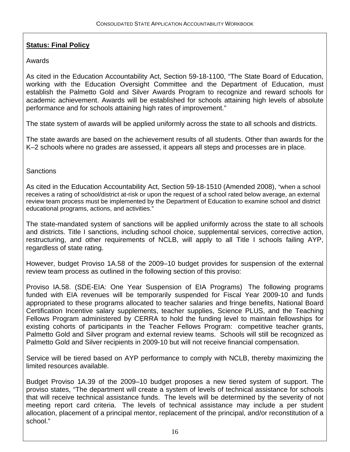#### Awards

As cited in the Education Accountability Act, Section 59-18-1100, "The State Board of Education, working with the Education Oversight Committee and the Department of Education, must establish the Palmetto Gold and Silver Awards Program to recognize and reward schools for academic achievement. Awards will be established for schools attaining high levels of absolute performance and for schools attaining high rates of improvement."

The state system of awards will be applied uniformly across the state to all schools and districts.

The state awards are based on the achievement results of all students. Other than awards for the K–2 schools where no grades are assessed, it appears all steps and processes are in place.

**Sanctions** 

As cited in the Education Accountability Act, Section 59-18-1510 (Amended 2008), "when a school receives a rating of school/district at-risk or upon the request of a school rated below average, an external review team process must be implemented by the Department of Education to examine school and district educational programs, actions, and activities."

The state-mandated system of sanctions will be applied uniformly across the state to all schools and districts. Title I sanctions, including school choice, supplemental services, corrective action, restructuring, and other requirements of NCLB, will apply to all Title I schools failing AYP, regardless of state rating.

However, budget Proviso 1A.58 of the 2009–10 budget provides for suspension of the external review team process as outlined in the following section of this proviso:

Proviso IA.58. (SDE-EIA: One Year Suspension of EIA Programs)The following programs funded with EIA revenues will be temporarily suspended for Fiscal Year 2009-10 and funds appropriated to these programs allocated to teacher salaries and fringe benefits, National Board Certification Incentive salary supplements, teacher supplies, Science PLUS, and the Teaching Fellows Program administered by CERRA to hold the funding level to maintain fellowships for existing cohorts of participants in the Teacher Fellows Program: competitive teacher grants, Palmetto Gold and Silver program and external review teams. Schools will still be recognized as Palmetto Gold and Silver recipients in 2009-10 but will not receive financial compensation.

Service will be tiered based on AYP performance to comply with NCLB, thereby maximizing the limited resources available.

Budget Proviso 1A.39 of the 2009–10 budget proposes a new tiered system of support. The proviso states, "The department will create a system of levels of technical assistance for schools that will receive technical assistance funds. The levels will be determined by the severity of not meeting report card criteria. The levels of technical assistance may include a per student allocation, placement of a principal mentor, replacement of the principal, and/or reconstitution of a school."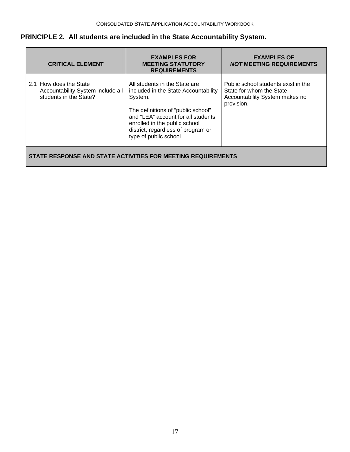#### **PRINCIPLE 2. All students are included in the State Accountability System.**

| <b>CRITICAL ELEMENT</b>                                                               | <b>EXAMPLES FOR</b><br><b>MEETING STATUTORY</b><br><b>REQUIREMENTS</b>                                                                                                                                                                                        | <b>EXAMPLES OF</b><br><b>NOT MEETING REQUIREMENTS</b>                                                           |  |
|---------------------------------------------------------------------------------------|---------------------------------------------------------------------------------------------------------------------------------------------------------------------------------------------------------------------------------------------------------------|-----------------------------------------------------------------------------------------------------------------|--|
| 2.1 How does the State<br>Accountability System include all<br>students in the State? | All students in the State are<br>included in the State Accountability<br>System.<br>The definitions of "public school"<br>and "LEA" account for all students<br>enrolled in the public school<br>district, regardless of program or<br>type of public school. | Public school students exist in the<br>State for whom the State<br>Accountability System makes no<br>provision. |  |
| STATE RESPONSE AND STATE ACTIVITIES FOR MEETING REQUIREMENTS                          |                                                                                                                                                                                                                                                               |                                                                                                                 |  |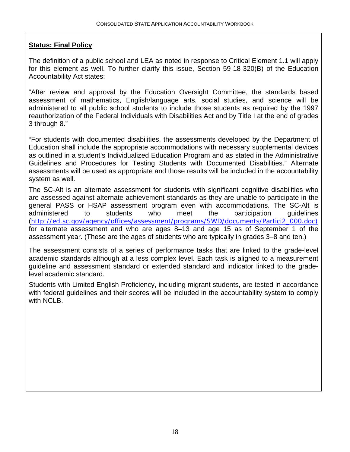The definition of a public school and LEA as noted in response to Critical Element 1.1 will apply for this element as well. To further clarify this issue, Section 59-18-320(B) of the Education Accountability Act states:

"After review and approval by the Education Oversight Committee, the standards based assessment of mathematics, English/language arts, social studies, and science will be administered to all public school students to include those students as required by the 1997 reauthorization of the Federal Individuals with Disabilities Act and by Title I at the end of grades 3 through 8."

"For students with documented disabilities, the assessments developed by the Department of Education shall include the appropriate accommodations with necessary supplemental devices as outlined in a student's Individualized Education Program and as stated in the Administrative Guidelines and Procedures for Testing Students with Documented Disabilities." Alternate assessments will be used as appropriate and those results will be included in the accountability system as well.

The SC-Alt is an alternate assessment for students with significant cognitive disabilities who are assessed against alternate achievement standards as they are unable to participate in the general PASS or HSAP assessment program even with accommodations. The SC-Alt is administered to students who meet the [participation guidelines](http://ed.sc.gov/agency/offices/assessment/programs/SWD/documents/Partici2_000.doc) (http://ed.sc.gov/agency/offices/assessment/programs/SWD/documents/Partici2\_000.doc) for alternate assessment and who are ages 8–13 and age 15 as of September 1 of the assessment year. (These are the ages of students who are typically in grades 3–8 and ten.)

The assessment consists of a series of performance tasks that are linked to the grade-level academic standards although at a less complex level. Each task is aligned to a measurement guideline and assessment standard or extended standard and indicator linked to the gradelevel academic standard.

Students with Limited English Proficiency, including migrant students, are tested in accordance with federal guidelines and their scores will be included in the accountability system to comply with NCLB.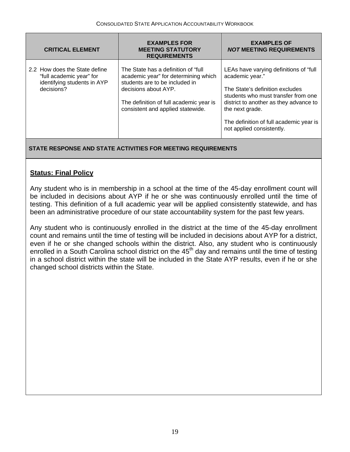| <b>CRITICAL ELEMENT</b>                                                                                | <b>EXAMPLES FOR</b><br><b>MEETING STATUTORY</b><br><b>REQUIREMENTS</b>                                                                                                                                                 | <b>EXAMPLES OF</b><br><b>NOT MEETING REQUIREMENTS</b>                                                                                                                                                                                                                     |
|--------------------------------------------------------------------------------------------------------|------------------------------------------------------------------------------------------------------------------------------------------------------------------------------------------------------------------------|---------------------------------------------------------------------------------------------------------------------------------------------------------------------------------------------------------------------------------------------------------------------------|
| 2.2 How does the State define<br>"full academic year" for<br>identifying students in AYP<br>decisions? | The State has a definition of "full"<br>academic year" for determining which<br>students are to be included in<br>decisions about AYP.<br>The definition of full academic year is<br>consistent and applied statewide. | LEAs have varying definitions of "full"<br>academic year."<br>The State's definition excludes<br>students who must transfer from one<br>district to another as they advance to<br>the next grade.<br>The definition of full academic year is<br>not applied consistently. |

#### **STATE RESPONSE AND STATE ACTIVITIES FOR MEETING REQUIREMENTS**

#### **Status: Final Policy**

Any student who is in membership in a school at the time of the 45-day enrollment count will be included in decisions about AYP if he or she was continuously enrolled until the time of testing. This definition of a full academic year will be applied consistently statewide, and has been an administrative procedure of our state accountability system for the past few years.

Any student who is continuously enrolled in the district at the time of the 45-day enrollment count and remains until the time of testing will be included in decisions about AYP for a district, even if he or she changed schools within the district. Also, any student who is continuously enrolled in a South Carolina school district on the  $45<sup>th</sup>$  day and remains until the time of testing in a school district within the state will be included in the State AYP results, even if he or she changed school districts within the State.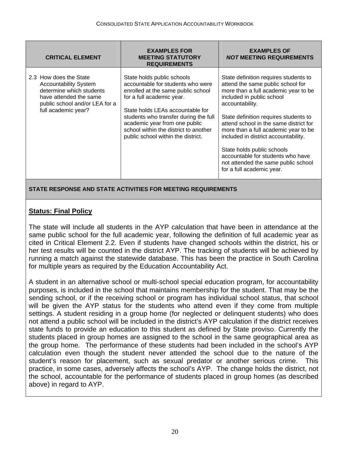| <b>CRITICAL ELEMENT</b>                                                                                                                                               | <b>EXAMPLES FOR</b><br><b>MEETING STATUTORY</b><br><b>REQUIREMENTS</b>                                                                                                                                                                                                                                                          | <b>EXAMPLES OF</b><br><b>NOT MEETING REQUIREMENTS</b>                                                                                                                                                                                                                                                                                                                                                                                                                        |
|-----------------------------------------------------------------------------------------------------------------------------------------------------------------------|---------------------------------------------------------------------------------------------------------------------------------------------------------------------------------------------------------------------------------------------------------------------------------------------------------------------------------|------------------------------------------------------------------------------------------------------------------------------------------------------------------------------------------------------------------------------------------------------------------------------------------------------------------------------------------------------------------------------------------------------------------------------------------------------------------------------|
| 2.3 How does the State<br><b>Accountability System</b><br>determine which students<br>have attended the same<br>public school and/or LEA for a<br>full academic year? | State holds public schools<br>accountable for students who were<br>enrolled at the same public school<br>for a full academic year.<br>State holds LEAs accountable for<br>students who transfer during the full<br>academic year from one public<br>school within the district to another<br>public school within the district. | State definition requires students to<br>attend the same public school for<br>more than a full academic year to be<br>included in public school<br>accountability.<br>State definition requires students to<br>attend school in the same district for<br>more than a full academic year to be<br>included in district accountability.<br>State holds public schools<br>accountable for students who have<br>not attended the same public school<br>for a full academic year. |

#### **STATE RESPONSE AND STATE ACTIVITIES FOR MEETING REQUIREMENTS**

#### **Status: Final Policy**

The state will include all students in the AYP calculation that have been in attendance at the same public school for the full academic year, following the definition of full academic year as cited in Critical Element 2.2. Even if students have changed schools within the district, his or her test results will be counted in the district AYP. The tracking of students will be achieved by running a match against the statewide database. This has been the practice in South Carolina for multiple years as required by the Education Accountability Act.

A student in an alternative school or multi-school special education program, for accountability purposes, is included in the school that maintains membership for the student. That may be the sending school, or if the receiving school or program has individual school status, that school will be given the AYP status for the students who attend even if they come from multiple settings. A student residing in a group home (for neglected or delinquent students) who does not attend a public school will be included in the district's AYP calculation if the district receives state funds to provide an education to this student as defined by State proviso. Currently the students placed in group homes are assigned to the school in the same geographical area as the group home. The performance of these students had been included in the school's AYP calculation even though the student never attended the school due to the nature of the student's reason for placement, such as sexual predator or another serious crime. This practice, in some cases, adversely affects the school's AYP. The change holds the district, not the school, accountable for the performance of students placed in group homes (as described above) in regard to AYP.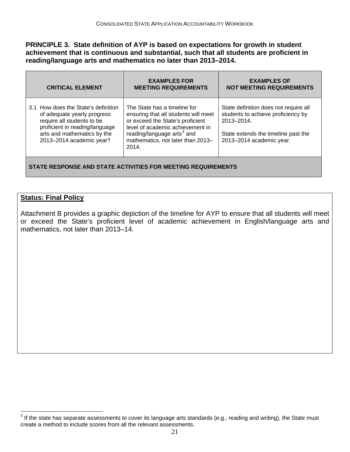<span id="page-21-0"></span>**PRINCIPLE 3. State definition of AYP is based on expectations for growth in student achievement that is continuous and substantial, such that all students are proficient in reading/language arts and mathematics no later than 2013–2014.** 

| <b>CRITICAL ELEMENT</b>                                                                                                                                                                       | <b>EXAMPLES FOR</b><br><b>MEETING REQUIREMENTS</b>                                                                                                                                                                                   | <b>EXAMPLES OF</b><br><b>NOT MEETING REQUIREMENTS</b>                                                                                                       |
|-----------------------------------------------------------------------------------------------------------------------------------------------------------------------------------------------|--------------------------------------------------------------------------------------------------------------------------------------------------------------------------------------------------------------------------------------|-------------------------------------------------------------------------------------------------------------------------------------------------------------|
| 3.1 How does the State's definition<br>of adequate yearly progress<br>require all students to be<br>proficient in reading/language<br>arts and mathematics by the<br>2013-2014 academic year? | The State has a timeline for<br>ensuring that all students will meet<br>or exceed the State's proficient<br>level of academic achievement in<br>reading/language arts <sup>3</sup> and<br>mathematics, not later than 2013-<br>2014. | State definition does not require all<br>students to achieve proficiency by<br>2013-2014<br>State extends the timeline past the<br>2013-2014 academic year. |
| STATE RESPONSE AND STATE ACTIVITIES FOR MEETING REQUIREMENTS                                                                                                                                  |                                                                                                                                                                                                                                      |                                                                                                                                                             |

#### **Status: Final Policy**

Attachment B provides a graphic depiction of the timeline for AYP to ensure that all students will meet or exceed the State's proficient level of academic achievement in English/language arts and mathematics, not later than 2013–14.

 3 If the state has separate assessments to cover its language arts standards (e.g., reading and writing), the State must create a method to include scores from all the relevant assessments.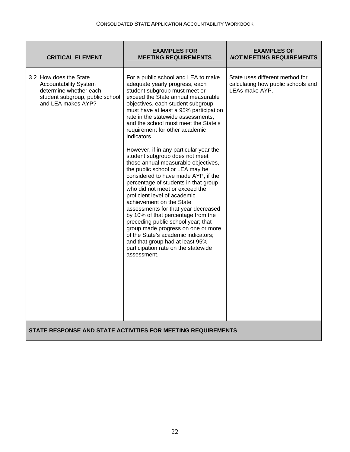| <b>CRITICAL ELEMENT</b>                                                                                                                   | <b>EXAMPLES FOR</b><br><b>MEETING REQUIREMENTS</b>                                                                                                                                                                                                                                                                                                                                                                                                                                                                                                                                                                                                                                                                                                                                                                                                                                                                                                                                     | <b>EXAMPLES OF</b><br><b>NOT MEETING REQUIREMENTS</b>                                   |
|-------------------------------------------------------------------------------------------------------------------------------------------|----------------------------------------------------------------------------------------------------------------------------------------------------------------------------------------------------------------------------------------------------------------------------------------------------------------------------------------------------------------------------------------------------------------------------------------------------------------------------------------------------------------------------------------------------------------------------------------------------------------------------------------------------------------------------------------------------------------------------------------------------------------------------------------------------------------------------------------------------------------------------------------------------------------------------------------------------------------------------------------|-----------------------------------------------------------------------------------------|
| 3.2 How does the State<br><b>Accountability System</b><br>determine whether each<br>student subgroup, public school<br>and LEA makes AYP? | For a public school and LEA to make<br>adequate yearly progress, each<br>student subgroup must meet or<br>exceed the State annual measurable<br>objectives, each student subgroup<br>must have at least a 95% participation<br>rate in the statewide assessments,<br>and the school must meet the State's<br>requirement for other academic<br>indicators.<br>However, if in any particular year the<br>student subgroup does not meet<br>those annual measurable objectives,<br>the public school or LEA may be<br>considered to have made AYP, if the<br>percentage of students in that group<br>who did not meet or exceed the<br>proficient level of academic<br>achievement on the State<br>assessments for that year decreased<br>by 10% of that percentage from the<br>preceding public school year; that<br>group made progress on one or more<br>of the State's academic indicators;<br>and that group had at least 95%<br>participation rate on the statewide<br>assessment. | State uses different method for<br>calculating how public schools and<br>LEAs make AYP. |
|                                                                                                                                           | STATE RESPONSE AND STATE ACTIVITIES FOR MEETING REQUIREMENTS                                                                                                                                                                                                                                                                                                                                                                                                                                                                                                                                                                                                                                                                                                                                                                                                                                                                                                                           |                                                                                         |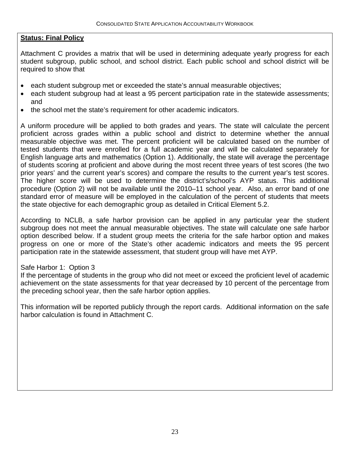Attachment C provides a matrix that will be used in determining adequate yearly progress for each student subgroup, public school, and school district. Each public school and school district will be required to show that

- each student subgroup met or exceeded the state's annual measurable objectives;
- each student subgroup had at least a 95 percent participation rate in the statewide assessments; and
- the school met the state's requirement for other academic indicators.

A uniform procedure will be applied to both grades and years. The state will calculate the percent proficient across grades within a public school and district to determine whether the annual measurable objective was met. The percent proficient will be calculated based on the number of tested students that were enrolled for a full academic year and will be calculated separately for English language arts and mathematics (Option 1). Additionally, the state will average the percentage of students scoring at proficient and above during the most recent three years of test scores (the two prior years' and the current year's scores) and compare the results to the current year's test scores. The higher score will be used to determine the district's/school's AYP status. This additional procedure (Option 2) will not be available until the 2010–11 school year. Also, an error band of one standard error of measure will be employed in the calculation of the percent of students that meets the state objective for each demographic group as detailed in Critical Element 5.2.

According to NCLB, a safe harbor provision can be applied in any particular year the student subgroup does not meet the annual measurable objectives. The state will calculate one safe harbor option described below. If a student group meets the criteria for the safe harbor option and makes progress on one or more of the State's other academic indicators and meets the 95 percent participation rate in the statewide assessment, that student group will have met AYP.

#### Safe Harbor 1: Option 3

If the percentage of students in the group who did not meet or exceed the proficient level of academic achievement on the state assessments for that year decreased by 10 percent of the percentage from the preceding school year, then the safe harbor option applies.

This information will be reported publicly through the report cards. Additional information on the safe harbor calculation is found in Attachment C.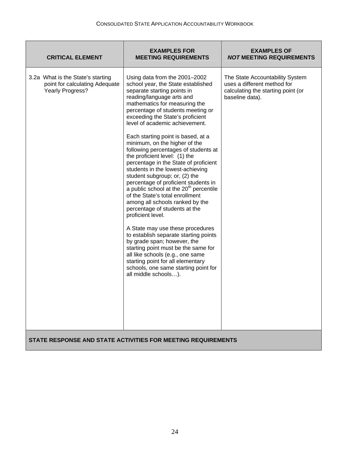| <b>CRITICAL ELEMENT</b>                                                                        | <b>EXAMPLES FOR</b><br><b>MEETING REQUIREMENTS</b>                                                                                                                                                                                                                                                                                                                                                                                                                                                                                                                                                                                                                                                                                                                                                                                                                                                                                                                                                                                                              | <b>EXAMPLES OF</b><br><b>NOT MEETING REQUIREMENTS</b>                                                                   |
|------------------------------------------------------------------------------------------------|-----------------------------------------------------------------------------------------------------------------------------------------------------------------------------------------------------------------------------------------------------------------------------------------------------------------------------------------------------------------------------------------------------------------------------------------------------------------------------------------------------------------------------------------------------------------------------------------------------------------------------------------------------------------------------------------------------------------------------------------------------------------------------------------------------------------------------------------------------------------------------------------------------------------------------------------------------------------------------------------------------------------------------------------------------------------|-------------------------------------------------------------------------------------------------------------------------|
| 3.2a What is the State's starting<br>point for calculating Adequate<br><b>Yearly Progress?</b> | Using data from the 2001-2002<br>school year, the State established<br>separate starting points in<br>reading/language arts and<br>mathematics for measuring the<br>percentage of students meeting or<br>exceeding the State's proficient<br>level of academic achievement.<br>Each starting point is based, at a<br>minimum, on the higher of the<br>following percentages of students at<br>the proficient level: (1) the<br>percentage in the State of proficient<br>students in the lowest-achieving<br>student subgroup; or, (2) the<br>percentage of proficient students in<br>a public school at the 20 <sup>th</sup> percentile<br>of the State's total enrollment<br>among all schools ranked by the<br>percentage of students at the<br>proficient level.<br>A State may use these procedures<br>to establish separate starting points<br>by grade span; however, the<br>starting point must be the same for<br>all like schools (e.g., one same<br>starting point for all elementary<br>schools, one same starting point for<br>all middle schools). | The State Accountability System<br>uses a different method for<br>calculating the starting point (or<br>baseline data). |
| STATE RESPONSE AND STATE ACTIVITIES FOR MEETING REQUIREMENTS                                   |                                                                                                                                                                                                                                                                                                                                                                                                                                                                                                                                                                                                                                                                                                                                                                                                                                                                                                                                                                                                                                                                 |                                                                                                                         |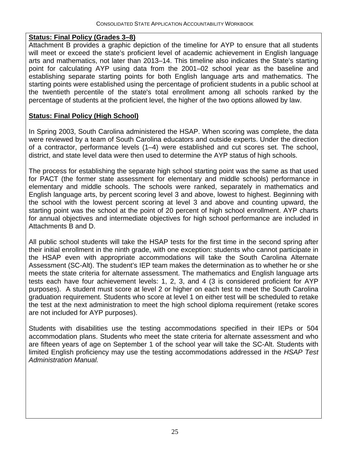#### **Status: Final Policy (Grades 3–8)**

Attachment B provides a graphic depiction of the timeline for AYP to ensure that all students will meet or exceed the state's proficient level of academic achievement in English language arts and mathematics, not later than 2013–14. This timeline also indicates the State's starting point for calculating AYP using data from the 2001–02 school year as the baseline and establishing separate starting points for both English language arts and mathematics. The starting points were established using the percentage of proficient students in a public school at the twentieth percentile of the state's total enrollment among all schools ranked by the percentage of students at the proficient level, the higher of the two options allowed by law.

#### **Status: Final Policy (High School)**

In Spring 2003, South Carolina administered the HSAP. When scoring was complete, the data were reviewed by a team of South Carolina educators and outside experts. Under the direction of a contractor, performance levels (1–4) were established and cut scores set. The school, district, and state level data were then used to determine the AYP status of high schools.

The process for establishing the separate high school starting point was the same as that used for PACT (the former state assessment for elementary and middle schools) performance in elementary and middle schools. The schools were ranked, separately in mathematics and English language arts, by percent scoring level 3 and above, lowest to highest. Beginning with the school with the lowest percent scoring at level 3 and above and counting upward, the starting point was the school at the point of 20 percent of high school enrollment. AYP charts for annual objectives and intermediate objectives for high school performance are included in Attachments B and D.

All public school students will take the HSAP tests for the first time in the second spring after their initial enrollment in the ninth grade, with one exception: students who cannot participate in the HSAP even with appropriate accommodations will take the South Carolina Alternate Assessment (SC-Alt). The student's IEP team makes the determination as to whether he or she meets the state criteria for alternate assessment. The mathematics and English language arts tests each have four achievement levels: 1, 2, 3, and 4 (3 is considered proficient for AYP purposes). A student must score at level 2 or higher on each test to meet the South Carolina graduation requirement. Students who score at level 1 on either test will be scheduled to retake the test at the next administration to meet the high school diploma requirement (retake scores are not included for AYP purposes).

Students with disabilities use the testing accommodations specified in their IEPs or 504 accommodation plans. Students who meet the state criteria for alternate assessment and who are fifteen years of age on September 1 of the school year will take the SC-Alt. Students with limited English proficiency may use the testing accommodations addressed in the *HSAP Test Administration Manual.*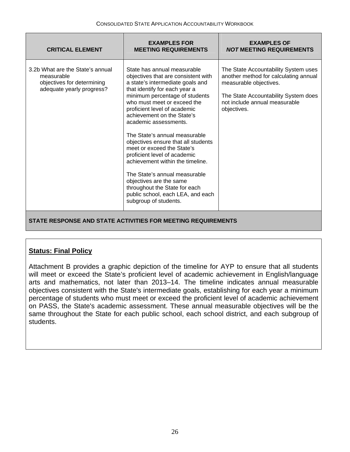| <b>CRITICAL ELEMENT</b>                                                                                   | <b>EXAMPLES FOR</b><br><b>MEETING REQUIREMENTS</b>                                                                                                                                                                                                                                                                                                                                                                                                                                                                                                                                                                                   | <b>EXAMPLES OF</b><br><b>NOT MEETING REQUIREMENTS</b>                                                                                                                                           |
|-----------------------------------------------------------------------------------------------------------|--------------------------------------------------------------------------------------------------------------------------------------------------------------------------------------------------------------------------------------------------------------------------------------------------------------------------------------------------------------------------------------------------------------------------------------------------------------------------------------------------------------------------------------------------------------------------------------------------------------------------------------|-------------------------------------------------------------------------------------------------------------------------------------------------------------------------------------------------|
| 3.2b What are the State's annual<br>measurable<br>objectives for determining<br>adequate yearly progress? | State has annual measurable<br>objectives that are consistent with<br>a state's intermediate goals and<br>that identify for each year a<br>minimum percentage of students<br>who must meet or exceed the<br>proficient level of academic<br>achievement on the State's<br>academic assessments.<br>The State's annual measurable<br>objectives ensure that all students<br>meet or exceed the State's<br>proficient level of academic<br>achievement within the timeline.<br>The State's annual measurable<br>objectives are the same<br>throughout the State for each<br>public school, each LEA, and each<br>subgroup of students. | The State Accountability System uses<br>another method for calculating annual<br>measurable objectives.<br>The State Accountability System does<br>not include annual measurable<br>objectives. |
| STATE RESPONSE AND STATE ACTIVITIES FOR MEETING REQUIREMENTS                                              |                                                                                                                                                                                                                                                                                                                                                                                                                                                                                                                                                                                                                                      |                                                                                                                                                                                                 |

Attachment B provides a graphic depiction of the timeline for AYP to ensure that all students will meet or exceed the State's proficient level of academic achievement in English/language arts and mathematics, not later than 2013–14. The timeline indicates annual measurable objectives consistent with the State's intermediate goals, establishing for each year a minimum percentage of students who must meet or exceed the proficient level of academic achievement on PASS, the State's academic assessment. These annual measurable objectives will be the same throughout the State for each public school, each school district, and each subgroup of students.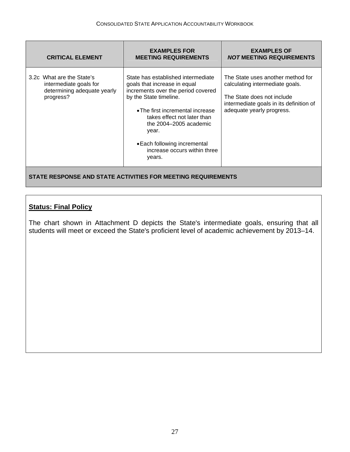| <b>CRITICAL ELEMENT</b>                                                                         | <b>EXAMPLES FOR</b><br><b>MEETING REQUIREMENTS</b>                                                                                                                                                                                                                                                                 | <b>EXAMPLES OF</b><br><b>NOT MEETING REQUIREMENTS</b>                                                                                                                      |
|-------------------------------------------------------------------------------------------------|--------------------------------------------------------------------------------------------------------------------------------------------------------------------------------------------------------------------------------------------------------------------------------------------------------------------|----------------------------------------------------------------------------------------------------------------------------------------------------------------------------|
| 3.2c What are the State's<br>intermediate goals for<br>determining adequate yearly<br>progress? | State has established intermediate<br>goals that increase in equal<br>increments over the period covered<br>by the State timeline.<br>• The first incremental increase<br>takes effect not later than<br>the 2004–2005 academic<br>year.<br>• Each following incremental<br>increase occurs within three<br>years. | The State uses another method for<br>calculating intermediate goals.<br>The State does not include<br>intermediate goals in its definition of<br>adequate yearly progress. |
| STATE RESPONSE AND STATE ACTIVITIES FOR MEETING REQUIREMENTS                                    |                                                                                                                                                                                                                                                                                                                    |                                                                                                                                                                            |

The chart shown in Attachment D depicts the State's intermediate goals, ensuring that all students will meet or exceed the State's proficient level of academic achievement by 2013–14.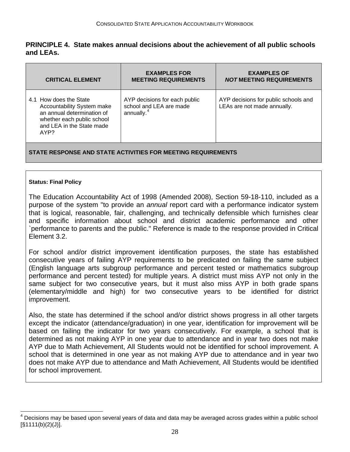#### <span id="page-28-0"></span>**PRINCIPLE 4. State makes annual decisions about the achievement of all public schools and LEAs.**

| <b>CRITICAL ELEMENT</b>                                                                                                                               | <b>EXAMPLES FOR</b><br><b>MEETING REQUIREMENTS</b>                                 | <b>EXAMPLES OF</b><br><b>NOT MEETING REQUIREMENTS</b>               |
|-------------------------------------------------------------------------------------------------------------------------------------------------------|------------------------------------------------------------------------------------|---------------------------------------------------------------------|
| 4.1 How does the State<br>Accountability System make<br>an annual determination of<br>whether each public school<br>and LEA in the State made<br>AYP? | AYP decisions for each public<br>school and LEA are made<br>annually. <sup>4</sup> | AYP decisions for public schools and<br>LEAs are not made annually. |
|                                                                                                                                                       |                                                                                    |                                                                     |

#### **STATE RESPONSE AND STATE ACTIVITIES FOR MEETING REQUIREMENTS**

#### **Status: Final Policy**

 $\overline{\phantom{a}}$ 

The Education Accountability Act of 1998 (Amended 2008), Section 59-18-110, included as a purpose of the system "to provide an *annual* report card with a performance indicator system that is logical, reasonable, fair, challenging, and technically defensible which furnishes clear and specific information about school and district academic performance and other `performance to parents and the public." Reference is made to the response provided in Critical Element 3.2.

For school and/or district improvement identification purposes, the state has established consecutive years of failing AYP requirements to be predicated on failing the same subject (English language arts subgroup performance and percent tested or mathematics subgroup performance and percent tested) for multiple years. A district must miss AYP not only in the same subject for two consecutive years, but it must also miss AYP in both grade spans (elementary/middle and high) for two consecutive years to be identified for district improvement.

Also, the state has determined if the school and/or district shows progress in all other targets except the indicator (attendance/graduation) in one year, identification for improvement will be based on failing the indicator for two years consecutively. For example, a school that is determined as not making AYP in one year due to attendance and in year two does not make AYP due to Math Achievement, All Students would not be identified for school improvement. A school that is determined in one year as not making AYP due to attendance and in year two does not make AYP due to attendance and Math Achievement, All Students would be identified for school improvement.

 $<sup>4</sup>$  Decisions may be based upon several years of data and data may be averaged across grades within a public school</sup> [§1111(b)(2)(J)].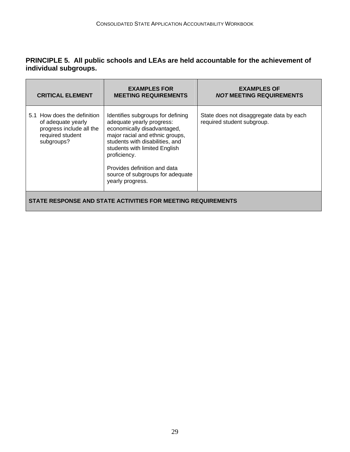#### **PRINCIPLE 5. All public schools and LEAs are held accountable for the achievement of individual subgroups.**

| <b>CRITICAL ELEMENT</b>                                                                                         | <b>EXAMPLES FOR</b><br><b>MEETING REQUIREMENTS</b>                                                                                                                                                                                                                                                           | <b>EXAMPLES OF</b><br><i>NOT</i> MEETING REQUIREMENTS                  |
|-----------------------------------------------------------------------------------------------------------------|--------------------------------------------------------------------------------------------------------------------------------------------------------------------------------------------------------------------------------------------------------------------------------------------------------------|------------------------------------------------------------------------|
| 5.1 How does the definition<br>of adequate yearly<br>progress include all the<br>required student<br>subgroups? | Identifies subgroups for defining<br>adequate yearly progress:<br>economically disadvantaged,<br>major racial and ethnic groups,<br>students with disabilities, and<br>students with limited English<br>proficiency.<br>Provides definition and data<br>source of subgroups for adequate<br>yearly progress. | State does not disaggregate data by each<br>required student subgroup. |
| STATE RESPONSE AND STATE ACTIVITIES FOR MEETING REQUIREMENTS                                                    |                                                                                                                                                                                                                                                                                                              |                                                                        |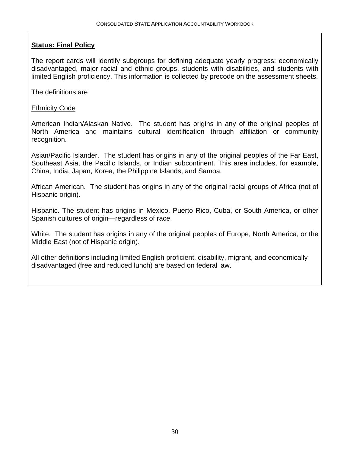The report cards will identify subgroups for defining adequate yearly progress: economically disadvantaged, major racial and ethnic groups, students with disabilities, and students with limited English proficiency. This information is collected by precode on the assessment sheets.

The definitions are

#### Ethnicity Code

American Indian/Alaskan Native. The student has origins in any of the original peoples of North America and maintains cultural identification through affiliation or community recognition.

Asian/Pacific Islander. The student has origins in any of the original peoples of the Far East, Southeast Asia, the Pacific Islands, or Indian subcontinent. This area includes, for example, China, India, Japan, Korea, the Philippine Islands, and Samoa.

African American. The student has origins in any of the original racial groups of Africa (not of Hispanic origin).

Hispanic. The student has origins in Mexico, Puerto Rico, Cuba, or South America, or other Spanish cultures of origin—regardless of race.

White. The student has origins in any of the original peoples of Europe, North America, or the Middle East (not of Hispanic origin).

All other definitions including limited English proficient, disability, migrant, and economically disadvantaged (free and reduced lunch) are based on federal law.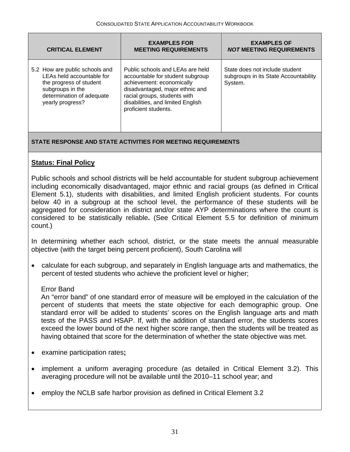| <b>CRITICAL ELEMENT</b>                                                                                                                                     | <b>EXAMPLES FOR</b><br><b>MEETING REQUIREMENTS</b>                                                                                                                                                                                | <b>EXAMPLES OF</b><br><i>NOT</i> MEETING REQUIREMENTS                              |
|-------------------------------------------------------------------------------------------------------------------------------------------------------------|-----------------------------------------------------------------------------------------------------------------------------------------------------------------------------------------------------------------------------------|------------------------------------------------------------------------------------|
| 5.2 How are public schools and<br>LEAs held accountable for<br>the progress of student<br>subgroups in the<br>determination of adequate<br>yearly progress? | Public schools and LEAs are held<br>accountable for student subgroup<br>achievement: economically<br>disadvantaged, major ethnic and<br>racial groups, students with<br>disabilities, and limited English<br>proficient students. | State does not include student<br>subgroups in its State Accountability<br>System. |

#### **STATE RESPONSE AND STATE ACTIVITIES FOR MEETING REQUIREMENTS**

#### **Status: Final Policy**

Public schools and school districts will be held accountable for student subgroup achievement including economically disadvantaged, major ethnic and racial groups (as defined in Critical Element 5.1), students with disabilities, and limited English proficient students. For counts below 40 in a subgroup at the school level, the performance of these students will be aggregated for consideration in district and/or state AYP determinations where the count is considered to be statistically reliable**.** (See Critical Element 5.5 for definition of minimum count.)

In determining whether each school, district, or the state meets the annual measurable objective (with the target being percent proficient), South Carolina will

• calculate for each subgroup, and separately in English language arts and mathematics, the percent of tested students who achieve the proficient level or higher;

#### Error Band

An "error band" of one standard error of measure will be employed in the calculation of the percent of students that meets the state objective for each demographic group. One standard error will be added to students' scores on the English language arts and math tests of the PASS and HSAP. If, with the addition of standard error, the students scores exceed the lower bound of the next higher score range, then the students will be treated as having obtained that score for the determination of whether the state objective was met.

- examine participation rates**;**
- implement a uniform averaging procedure (as detailed in Critical Element 3.2). This averaging procedure will not be available until the 2010–11 school year; and
- employ the NCLB safe harbor provision as defined in Critical Element 3.2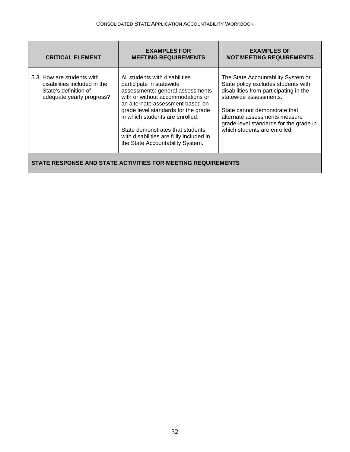| <b>CRITICAL ELEMENT</b>                                                                                         | <b>EXAMPLES FOR</b><br><b>MEETING REQUIREMENTS</b>                                                                                                                                                                                                                                                                                                                   | <b>EXAMPLES OF</b><br><b>NOT MEETING REQUIREMENTS</b>                                                                                                                                                                                                                                     |
|-----------------------------------------------------------------------------------------------------------------|----------------------------------------------------------------------------------------------------------------------------------------------------------------------------------------------------------------------------------------------------------------------------------------------------------------------------------------------------------------------|-------------------------------------------------------------------------------------------------------------------------------------------------------------------------------------------------------------------------------------------------------------------------------------------|
| 5.3 How are students with<br>disabilities included in the<br>State's definition of<br>adequate yearly progress? | All students with disabilities<br>participate in statewide<br>assessments: general assessments<br>with or without accommodations or<br>an alternate assessment based on<br>grade level standards for the grade<br>in which students are enrolled.<br>State demonstrates that students<br>with disabilities are fully included in<br>the State Accountability System. | The State Accountability System or<br>State policy excludes students with<br>disabilities from participating in the<br>statewide assessments.<br>State cannot demonstrate that<br>alternate assessments measure<br>grade-level standards for the grade in<br>which students are enrolled. |
| STATE RESPONSE AND STATE ACTIVITIES FOR MEETING REQUIREMENTS                                                    |                                                                                                                                                                                                                                                                                                                                                                      |                                                                                                                                                                                                                                                                                           |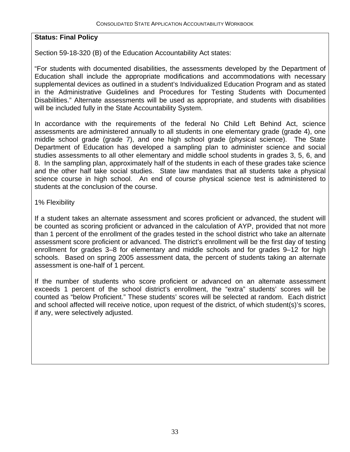Section 59-18-320 (B) of the Education Accountability Act states:

"For students with documented disabilities, the assessments developed by the Department of Education shall include the appropriate modifications and accommodations with necessary supplemental devices as outlined in a student's Individualized Education Program and as stated in the Administrative Guidelines and Procedures for Testing Students with Documented Disabilities." Alternate assessments will be used as appropriate, and students with disabilities will be included fully in the State Accountability System.

In accordance with the requirements of the federal No Child Left Behind Act, science assessments are administered annually to all students in one elementary grade (grade 4), one middle school grade (grade 7), and one high school grade (physical science). The State Department of Education has developed a sampling plan to administer science and social studies assessments to all other elementary and middle school students in grades 3, 5, 6, and 8. In the sampling plan, approximately half of the students in each of these grades take science and the other half take social studies. State law mandates that all students take a physical science course in high school. An end of course physical science test is administered to students at the conclusion of the course.

#### 1% Flexibility

If a student takes an alternate assessment and scores proficient or advanced, the student will be counted as scoring proficient or advanced in the calculation of AYP, provided that not more than 1 percent of the enrollment of the grades tested in the school district who take an alternate assessment score proficient or advanced. The district's enrollment will be the first day of testing enrollment for grades 3–8 for elementary and middle schools and for grades 9–12 for high schools. Based on spring 2005 assessment data, the percent of students taking an alternate assessment is one-half of 1 percent.

If the number of students who score proficient or advanced on an alternate assessment exceeds 1 percent of the school district's enrollment, the "extra" students' scores will be counted as "below Proficient." These students' scores will be selected at random. Each district and school affected will receive notice, upon request of the district, of which student(s)'s scores, if any, were selectively adjusted.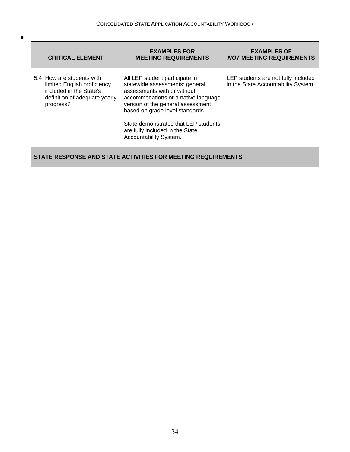•

| <b>CRITICAL ELEMENT</b>                                                                                                           | <b>EXAMPLES FOR</b><br><b>MEETING REQUIREMENTS</b>                                                                                                                                                                                                                                                                  | <b>EXAMPLES OF</b><br><b>NOT MEETING REQUIREMENTS</b>                      |
|-----------------------------------------------------------------------------------------------------------------------------------|---------------------------------------------------------------------------------------------------------------------------------------------------------------------------------------------------------------------------------------------------------------------------------------------------------------------|----------------------------------------------------------------------------|
| 5.4 How are students with<br>limited English proficiency<br>included in the State's<br>definition of adequate yearly<br>progress? | All LEP student participate in<br>statewide assessments: general<br>assessments with or without<br>accommodations or a native language<br>version of the general assessment<br>based on grade level standards.<br>State demonstrates that LEP students<br>are fully included in the State<br>Accountability System. | LEP students are not fully included<br>in the State Accountability System. |
| STATE RESPONSE AND STATE ACTIVITIES FOR MEETING REQUIREMENTS                                                                      |                                                                                                                                                                                                                                                                                                                     |                                                                            |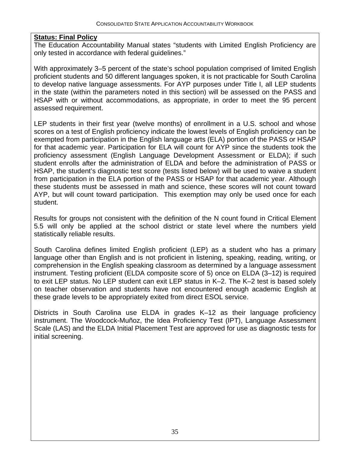The Education Accountability Manual states "students with Limited English Proficiency are only tested in accordance with federal guidelines."

With approximately 3–5 percent of the state's school population comprised of limited English proficient students and 50 different languages spoken, it is not practicable for South Carolina to develop native language assessments. For AYP purposes under Title I, all LEP students in the state (within the parameters noted in this section) will be assessed on the PASS and HSAP with or without accommodations, as appropriate, in order to meet the 95 percent assessed requirement.

LEP students in their first year (twelve months) of enrollment in a U.S. school and whose scores on a test of English proficiency indicate the lowest levels of English proficiency can be exempted from participation in the English language arts (ELA) portion of the PASS or HSAP for that academic year. Participation for ELA will count for AYP since the students took the proficiency assessment (English Language Development Assessment or ELDA); if such student enrolls after the administration of ELDA and before the administration of PASS or HSAP, the student's diagnostic test score (tests listed below) will be used to waive a student from participation in the ELA portion of the PASS or HSAP for that academic year. Although these students must be assessed in math and science, these scores will not count toward AYP, but will count toward participation. This exemption may only be used once for each student.

Results for groups not consistent with the definition of the N count found in Critical Element 5.5 will only be applied at the school district or state level where the numbers yield statistically reliable results.

South Carolina defines limited English proficient (LEP) as a student who has a primary language other than English and is not proficient in listening, speaking, reading, writing, or comprehension in the English speaking classroom as determined by a language assessment instrument. Testing proficient (ELDA composite score of 5) once on ELDA (3–12) is required to exit LEP status. No LEP student can exit LEP status in K–2. The K–2 test is based solely on teacher observation and students have not encountered enough academic English at these grade levels to be appropriately exited from direct ESOL service.

Districts in South Carolina use ELDA in grades K–12 as their language proficiency instrument. The Woodcock-Muñoz, the Idea Proficiency Test (IPT), Language Assessment Scale (LAS) and the ELDA Initial Placement Test are approved for use as diagnostic tests for initial screening.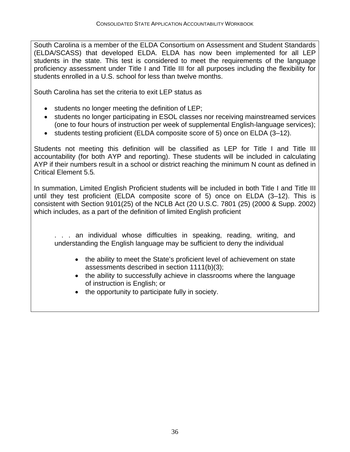South Carolina is a member of the ELDA Consortium on Assessment and Student Standards (ELDA/SCASS) that developed ELDA. ELDA has now been implemented for all LEP students in the state. This test is considered to meet the requirements of the language proficiency assessment under Title I and Title III for all purposes including the flexibility for students enrolled in a U.S. school for less than twelve months.

South Carolina has set the criteria to exit LEP status as

- students no longer meeting the definition of LEP;
- students no longer participating in ESOL classes nor receiving mainstreamed services (one to four hours of instruction per week of supplemental English-language services);
- students testing proficient (ELDA composite score of 5) once on ELDA (3–12).

Students not meeting this definition will be classified as LEP for Title I and Title III accountability (for both AYP and reporting). These students will be included in calculating AYP if their numbers result in a school or district reaching the minimum N count as defined in Critical Element 5.5*.*

In summation, Limited English Proficient students will be included in both Title I and Title III until they test proficient (ELDA composite score of 5) once on ELDA (3–12). This is consistent with Section 9101(25) of the NCLB Act (20 U.S.C. 7801 (25) (2000 & Supp. 2002) which includes, as a part of the definition of limited English proficient

... an individual whose difficulties in speaking, reading, writing, and understanding the English language may be sufficient to deny the individual

- the ability to meet the State's proficient level of achievement on state assessments described in section 1111(b)(3);
- the ability to successfully achieve in classrooms where the language of instruction is English; or
- the opportunity to participate fully in society.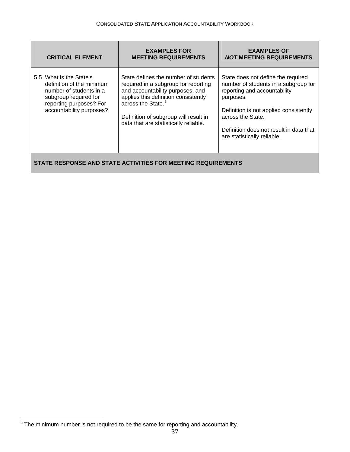<span id="page-37-0"></span>

| <b>CRITICAL ELEMENT</b>                                                                                                                                         | <b>EXAMPLES FOR</b><br><b>MEETING REQUIREMENTS</b>                                                                                                                                                                                                                           | <b>EXAMPLES OF</b><br><b>NOT MEETING REQUIREMENTS</b>                                                                                                                                                                                                            |
|-----------------------------------------------------------------------------------------------------------------------------------------------------------------|------------------------------------------------------------------------------------------------------------------------------------------------------------------------------------------------------------------------------------------------------------------------------|------------------------------------------------------------------------------------------------------------------------------------------------------------------------------------------------------------------------------------------------------------------|
| 5.5 What is the State's<br>definition of the minimum<br>number of students in a<br>subgroup required for<br>reporting purposes? For<br>accountability purposes? | State defines the number of students<br>required in a subgroup for reporting<br>and accountability purposes, and<br>applies this definition consistently<br>across the State. <sup>5</sup><br>Definition of subgroup will result in<br>data that are statistically reliable. | State does not define the required<br>number of students in a subgroup for<br>reporting and accountability<br>purposes.<br>Definition is not applied consistently<br>across the State.<br>Definition does not result in data that<br>are statistically reliable. |
| STATE RESPONSE AND STATE ACTIVITIES FOR MEETING REQUIREMENTS                                                                                                    |                                                                                                                                                                                                                                                                              |                                                                                                                                                                                                                                                                  |

<sup>&</sup>lt;u>Figure 20 mecanine metal</u><br><sup>5</sup> The minimum number is not required to be the same for reporting and accountability.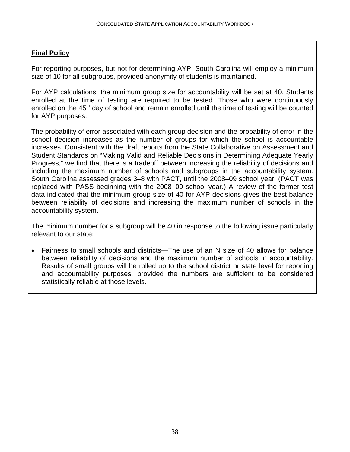### **Final Policy**

For reporting purposes, but not for determining AYP, South Carolina will employ a minimum size of 10 for all subgroups, provided anonymity of students is maintained.

For AYP calculations, the minimum group size for accountability will be set at 40. Students enrolled at the time of testing are required to be tested. Those who were continuously enrolled on the  $45<sup>th</sup>$  day of school and remain enrolled until the time of testing will be counted for AYP purposes.

The probability of error associated with each group decision and the probability of error in the school decision increases as the number of groups for which the school is accountable increases. Consistent with the draft reports from the State Collaborative on Assessment and Student Standards on "Making Valid and Reliable Decisions in Determining Adequate Yearly Progress," we find that there is a tradeoff between increasing the reliability of decisions and including the maximum number of schools and subgroups in the accountability system. South Carolina assessed grades 3–8 with PACT, until the 2008–09 school year. (PACT was replaced with PASS beginning with the 2008–09 school year.) A review of the former test data indicated that the minimum group size of 40 for AYP decisions gives the best balance between reliability of decisions and increasing the maximum number of schools in the accountability system.

The minimum number for a subgroup will be 40 in response to the following issue particularly relevant to our state:

• Fairness to small schools and districts—The use of an N size of 40 allows for balance between reliability of decisions and the maximum number of schools in accountability. Results of small groups will be rolled up to the school district or state level for reporting and accountability purposes, provided the numbers are sufficient to be considered statistically reliable at those levels.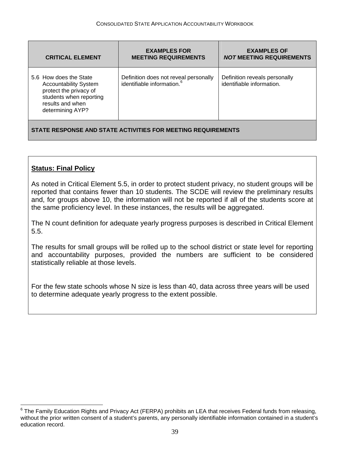<span id="page-39-0"></span>

| <b>CRITICAL ELEMENT</b>                                                                                                                             | <b>EXAMPLES FOR</b><br><b>MEETING REQUIREMENTS</b>                              | <b>EXAMPLES OF</b><br><b>NOT MEETING REQUIREMENTS</b>      |
|-----------------------------------------------------------------------------------------------------------------------------------------------------|---------------------------------------------------------------------------------|------------------------------------------------------------|
| 5.6 How does the State<br><b>Accountability System</b><br>protect the privacy of<br>students when reporting<br>results and when<br>determining AYP? | Definition does not reveal personally<br>identifiable information. <sup>6</sup> | Definition reveals personally<br>identifiable information. |
| STATE RESPONSE AND STATE ACTIVITIES FOR MEETING REQUIREMENTS                                                                                        |                                                                                 |                                                            |

#### **Status: Final Policy**

 $\overline{a}$ 

As noted in Critical Element 5.5, in order to protect student privacy, no student groups will be reported that contains fewer than 10 students. The SCDE will review the preliminary results and, for groups above 10, the information will not be reported if all of the students score at the same proficiency level. In these instances, the results will be aggregated.

The N count definition for adequate yearly progress purposes is described in Critical Element 5.5.

The results for small groups will be rolled up to the school district or state level for reporting and accountability purposes, provided the numbers are sufficient to be considered statistically reliable at those levels.

For the few state schools whose N size is less than 40, data across three years will be used to determine adequate yearly progress to the extent possible.

 $^6$  The Family Education Rights and Privacy Act (FERPA) prohibits an LEA that receives Federal funds from releasing, without the prior written consent of a student's parents, any personally identifiable information contained in a student's education record.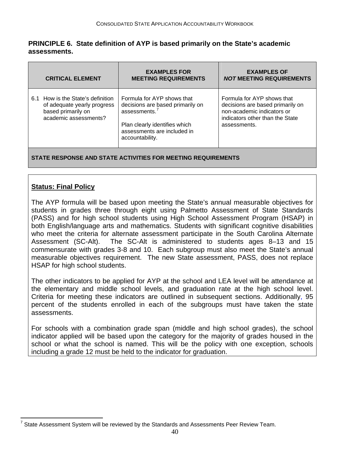#### <span id="page-40-0"></span>**PRINCIPLE 6. State definition of AYP is based primarily on the State's academic assessments.**

| <b>CRITICAL ELEMENT</b>                                                                                         | <b>EXAMPLES FOR</b><br><b>MEETING REQUIREMENTS</b>                                                                                                                | <b>EXAMPLES OF</b><br><b>NOT MEETING REQUIREMENTS</b>                                                                                           |
|-----------------------------------------------------------------------------------------------------------------|-------------------------------------------------------------------------------------------------------------------------------------------------------------------|-------------------------------------------------------------------------------------------------------------------------------------------------|
| 6.1 How is the State's definition<br>of adequate yearly progress<br>based primarily on<br>academic assessments? | Formula for AYP shows that<br>decisions are based primarily on<br>assessments.<br>Plan clearly identifies which<br>assessments are included in<br>accountability. | Formula for AYP shows that<br>decisions are based primarily on<br>non-academic indicators or<br>indicators other than the State<br>assessments. |
| STATE RESPONSE AND STATE ACTIVITIES FOR MEETING REQUIREMENTS                                                    |                                                                                                                                                                   |                                                                                                                                                 |

#### **Status: Final Policy**

The AYP formula will be based upon meeting the State's annual measurable objectives for students in grades three through eight using Palmetto Assessment of State Standards (PASS) and for high school students using High School Assessment Program (HSAP) in both English/language arts and mathematics. Students with significant cognitive disabilities who meet the criteria for alternate assessment participate in the South Carolina Alternate Assessment (SC-Alt). The SC-Alt is administered to students ages 8–13 and 15 commensurate with grades 3-8 and 10. Each subgroup must also meet the State's annual measurable objectives requirement. The new State assessment, PASS, does not replace HSAP for high school students.

The other indicators to be applied for AYP at the school and LEA level will be attendance at the elementary and middle school levels, and graduation rate at the high school level. Criteria for meeting these indicators are outlined in subsequent sections. Additionally, 95 percent of the students enrolled in each of the subgroups must have taken the state assessments.

For schools with a combination grade span (middle and high school grades), the school indicator applied will be based upon the category for the majority of grades housed in the school or what the school is named. This will be the policy with one exception, schools including a grade 12 must be held to the indicator for graduation.

<sup>————————————————————&</sup>lt;br><sup>7</sup> State Assessment System will be reviewed by the Standards and Assessments Peer Review Team.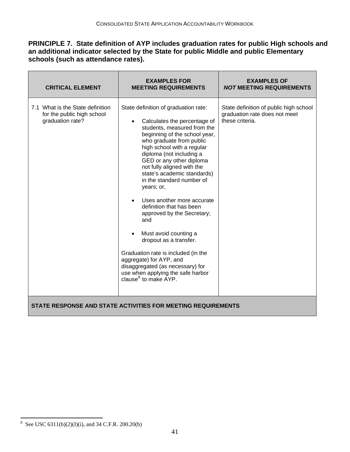#### <span id="page-41-0"></span>**PRINCIPLE 7. State definition of AYP includes graduation rates for public High schools and an additional indicator selected by the State for public Middle and public Elementary schools (such as attendance rates).**

| <b>CRITICAL ELEMENT</b>                                                            | <b>EXAMPLES FOR</b><br><b>MEETING REQUIREMENTS</b>                                                                                                                                                                                                                                                                                                                                                                                                                                                                                                                                                                                                                                      | <b>EXAMPLES OF</b><br><b>NOT MEETING REQUIREMENTS</b>                                      |
|------------------------------------------------------------------------------------|-----------------------------------------------------------------------------------------------------------------------------------------------------------------------------------------------------------------------------------------------------------------------------------------------------------------------------------------------------------------------------------------------------------------------------------------------------------------------------------------------------------------------------------------------------------------------------------------------------------------------------------------------------------------------------------------|--------------------------------------------------------------------------------------------|
| 7.1 What is the State definition<br>for the public high school<br>graduation rate? | State definition of graduation rate:<br>Calculates the percentage of<br>students, measured from the<br>beginning of the school year,<br>who graduate from public<br>high school with a regular<br>diploma (not including a<br>GED or any other diploma<br>not fully aligned with the<br>state's academic standards)<br>in the standard number of<br>years; or,<br>Uses another more accurate<br>definition that has been<br>approved by the Secretary;<br>and<br>Must avoid counting a<br>dropout as a transfer.<br>Graduation rate is included (in the<br>aggregate) for AYP, and<br>disaggregated (as necessary) for<br>use when applying the safe harbor<br>clause $^8$ to make AYP. | State definition of public high school<br>graduation rate does not meet<br>these criteria. |
| STATE RESPONSE AND STATE ACTIVITIES FOR MEETING REQUIREMENTS                       |                                                                                                                                                                                                                                                                                                                                                                                                                                                                                                                                                                                                                                                                                         |                                                                                            |

<sup>&</sup>lt;sup>8</sup> See USC 6311(b)(2)(I)(i), and 34 C.F.R. 200.20(b)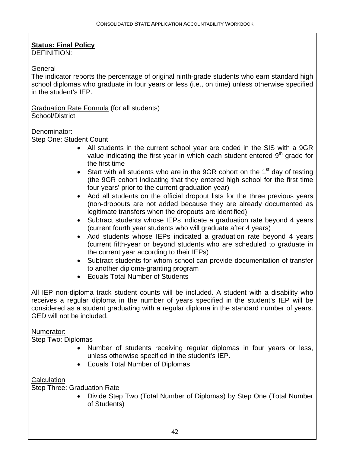## **Status: Final Policy**

DEFINITION:

#### **General**

The indicator reports the percentage of original ninth-grade students who earn standard high school diplomas who graduate in four years or less (i.e., on time) unless otherwise specified in the student's IEP.

Graduation Rate Formula (for all students) School/District

#### Denominator:

Step One: Student Count

- All students in the current school year are coded in the SIS with a 9GR value indicating the first year in which each student entered  $9<sup>th</sup>$  grade for the first time
- Start with all students who are in the 9GR cohort on the  $1<sup>st</sup>$  day of testing (the 9GR cohort indicating that they entered high school for the first time four years' prior to the current graduation year)
- Add all students on the official dropout lists for the three previous years (non-dropouts are not added because they are already documented as legitimate transfers when the dropouts are identified)
- Subtract students whose IEPs indicate a graduation rate beyond 4 years (current fourth year students who will graduate after 4 years)
- Add students whose IEPs indicated a graduation rate beyond 4 years (current fifth-year or beyond students who are scheduled to graduate in the current year according to their IEPs)
- Subtract students for whom school can provide documentation of transfer to another diploma-granting program
- Equals Total Number of Students

All IEP non-diploma track student counts will be included. A student with a disability who receives a regular diploma in the number of years specified in the student's IEP will be considered as a student graduating with a regular diploma in the standard number of years. GED will not be included.

#### Numerator:

Step Two: Diplomas

- Number of students receiving regular diplomas in four years or less, unless otherwise specified in the student's IEP.
- Equals Total Number of Diplomas

#### **Calculation**

Step Three: Graduation Rate

• Divide Step Two (Total Number of Diplomas) by Step One (Total Number of Students)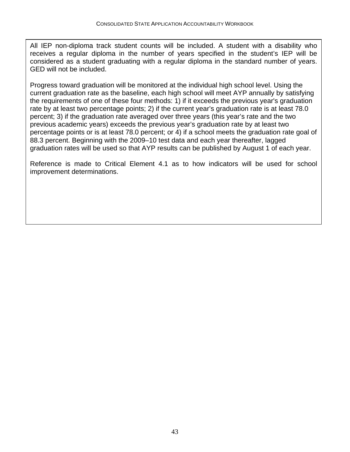All IEP non-diploma track student counts will be included. A student with a disability who receives a regular diploma in the number of years specified in the student's IEP will be considered as a student graduating with a regular diploma in the standard number of years. GED will not be included.

Progress toward graduation will be monitored at the individual high school level. Using the current graduation rate as the baseline, each high school will meet AYP annually by satisfying the requirements of one of these four methods: 1) if it exceeds the previous year's graduation rate by at least two percentage points; 2) if the current year's graduation rate is at least 78.0 percent; 3) if the graduation rate averaged over three years (this year's rate and the two previous academic years) exceeds the previous year's graduation rate by at least two percentage points or is at least 78.0 percent; or 4) if a school meets the graduation rate goal of 88.3 percent. Beginning with the 2009–10 test data and each year thereafter, lagged graduation rates will be used so that AYP results can be published by August 1 of each year.

Reference is made to Critical Element 4.1 as to how indicators will be used for school improvement determinations.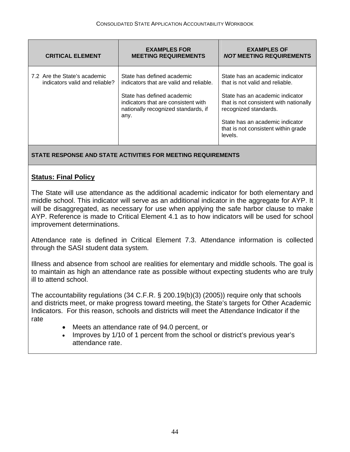| <b>CRITICAL ELEMENT</b>                                        | <b>EXAMPLES FOR</b><br><b>MEETING REQUIREMENTS</b>                                                                                                                                        | <b>EXAMPLES OF</b><br><b>NOT MEETING REQUIREMENTS</b>                                                                                                                                                                                                         |
|----------------------------------------------------------------|-------------------------------------------------------------------------------------------------------------------------------------------------------------------------------------------|---------------------------------------------------------------------------------------------------------------------------------------------------------------------------------------------------------------------------------------------------------------|
| 7.2 Are the State's academic<br>indicators valid and reliable? | State has defined academic<br>indicators that are valid and reliable.<br>State has defined academic<br>indicators that are consistent with<br>nationally recognized standards, if<br>any. | State has an academic indicator<br>that is not valid and reliable.<br>State has an academic indicator<br>that is not consistent with nationally<br>recognized standards.<br>State has an academic indicator<br>that is not consistent within grade<br>levels. |

**STATE RESPONSE AND STATE ACTIVITIES FOR MEETING REQUIREMENTS** 

#### **Status: Final Policy**

The State will use attendance as the additional academic indicator for both elementary and middle school. This indicator will serve as an additional indicator in the aggregate for AYP. It will be disaggregated, as necessary for use when applying the safe harbor clause to make AYP. Reference is made to Critical Element 4.1 as to how indicators will be used for school improvement determinations.

Attendance rate is defined in Critical Element 7.3. Attendance information is collected through the SASI student data system.

Illness and absence from school are realities for elementary and middle schools. The goal is to maintain as high an attendance rate as possible without expecting students who are truly ill to attend school.

The accountability regulations (34 C.F.R. § 200.19(b)(3) (2005)) require only that schools and districts meet, or make progress toward meeting, the State's targets for Other Academic Indicators. For this reason, schools and districts will meet the Attendance Indicator if the rate

- Meets an attendance rate of 94.0 percent, or
- Improves by 1/10 of 1 percent from the school or district's previous year's attendance rate.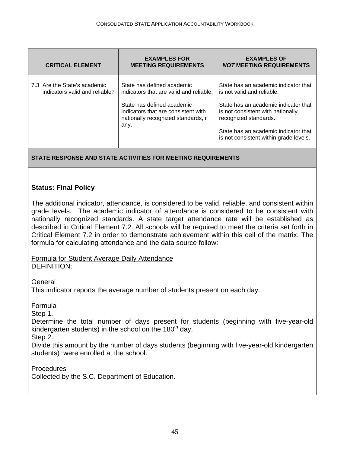| <b>CRITICAL ELEMENT</b>                                        | <b>EXAMPLES FOR</b><br><b>MEETING REQUIREMENTS</b>                                                                                                                                        | <b>EXAMPLES OF</b><br><b>NOT MEETING REQUIREMENTS</b>                                                                                                                                                                                                      |
|----------------------------------------------------------------|-------------------------------------------------------------------------------------------------------------------------------------------------------------------------------------------|------------------------------------------------------------------------------------------------------------------------------------------------------------------------------------------------------------------------------------------------------------|
| 7.3 Are the State's academic<br>indicators valid and reliable? | State has defined academic<br>indicators that are valid and reliable.<br>State has defined academic<br>indicators that are consistent with<br>nationally recognized standards, if<br>any. | State has an academic indicator that<br>is not valid and reliable.<br>State has an academic indicator that<br>is not consistent with nationally<br>recognized standards.<br>State has an academic indicator that<br>is not consistent within grade levels. |

**STATE RESPONSE AND STATE ACTIVITIES FOR MEETING REQUIREMENTS** 

#### **Status: Final Policy**

The additional indicator, attendance, is considered to be valid, reliable, and consistent within grade levels. The academic indicator of attendance is considered to be consistent with nationally recognized standards. A state target attendance rate will be established as described in Critical Element 7.2. All schools will be required to meet the criteria set forth in Critical Element 7.2 in order to demonstrate achievement within this cell of the matrix. The formula for calculating attendance and the data source follow:

Formula for Student Average Daily Attendance DEFINITION:

**General** 

This indicator reports the average number of students present on each day.

Formula

Step 1.

Determine the total number of days present for students (beginning with five-year-old kindergarten students) in the school on the  $180<sup>th</sup>$  day.

Step 2.

Divide this amount by the number of days students (beginning with five-year-old kindergarten students) were enrolled at the school.

Procedures Collected by the S.C. Department of Education.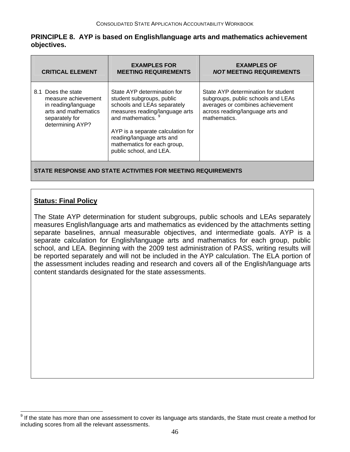#### <span id="page-46-0"></span>**PRINCIPLE 8. AYP is based on English/language arts and mathematics achievement objectives.**

| <b>CRITICAL ELEMENT</b>                                                                                                        | <b>EXAMPLES FOR</b><br><b>MEETING REQUIREMENTS</b>                                                                                                                                                                                                                                     | <b>EXAMPLES OF</b><br><b>NOT MEETING REQUIREMENTS</b>                                                                                                             |
|--------------------------------------------------------------------------------------------------------------------------------|----------------------------------------------------------------------------------------------------------------------------------------------------------------------------------------------------------------------------------------------------------------------------------------|-------------------------------------------------------------------------------------------------------------------------------------------------------------------|
| 8.1 Does the state<br>measure achievement<br>in reading/language<br>arts and mathematics<br>separately for<br>determining AYP? | State AYP determination for<br>student subgroups, public<br>schools and LEAs separately<br>measures reading/language arts<br>and mathematics. <sup>9</sup><br>AYP is a separate calculation for<br>reading/language arts and<br>mathematics for each group,<br>public school, and LEA. | State AYP determination for student<br>subgroups, public schools and LEAs<br>averages or combines achievement<br>across reading/language arts and<br>mathematics. |
| STATE RESPONSE AND STATE ACTIVITIES FOR MEETING REQUIREMENTS                                                                   |                                                                                                                                                                                                                                                                                        |                                                                                                                                                                   |

#### **Status: Final Policy**

The State AYP determination for student subgroups, public schools and LEAs separately measures English/language arts and mathematics as evidenced by the attachments setting separate baselines, annual measurable objectives, and intermediate goals. AYP is a separate calculation for English/language arts and mathematics for each group, public school, and LEA. Beginning with the 2009 test administration of PASS, writing results will be reported separately and will not be included in the AYP calculation. The ELA portion of the assessment includes reading and research and covers all of the English/language arts content standards designated for the state assessments.

 9 If the state has more than one assessment to cover its language arts standards, the State must create a method for including scores from all the relevant assessments.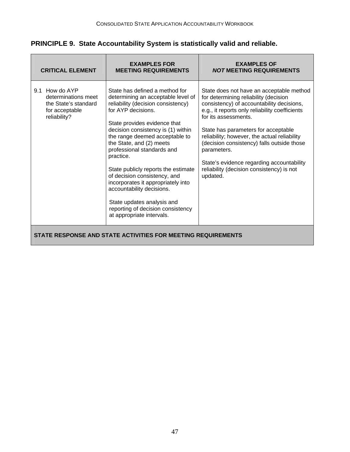#### **PRINCIPLE 9. State Accountability System is statistically valid and reliable.**

| <b>CRITICAL ELEMENT</b>                                                                            | <b>EXAMPLES FOR</b><br><b>MEETING REQUIREMENTS</b>                                                                                                                                                                                                                                                                                                                                                                                                                                                                                                        | <b>EXAMPLES OF</b><br><b>NOT MEETING REQUIREMENTS</b>                                                                                                                                                                                                                                                                                                                                                                                                              |
|----------------------------------------------------------------------------------------------------|-----------------------------------------------------------------------------------------------------------------------------------------------------------------------------------------------------------------------------------------------------------------------------------------------------------------------------------------------------------------------------------------------------------------------------------------------------------------------------------------------------------------------------------------------------------|--------------------------------------------------------------------------------------------------------------------------------------------------------------------------------------------------------------------------------------------------------------------------------------------------------------------------------------------------------------------------------------------------------------------------------------------------------------------|
| How do AYP<br>9.1<br>determinations meet<br>the State's standard<br>for acceptable<br>reliability? | State has defined a method for<br>determining an acceptable level of<br>reliability (decision consistency)<br>for AYP decisions.<br>State provides evidence that<br>decision consistency is (1) within<br>the range deemed acceptable to<br>the State, and (2) meets<br>professional standards and<br>practice.<br>State publicly reports the estimate<br>of decision consistency, and<br>incorporates it appropriately into<br>accountability decisions.<br>State updates analysis and<br>reporting of decision consistency<br>at appropriate intervals. | State does not have an acceptable method<br>for determining reliability (decision<br>consistency) of accountability decisions,<br>e.g., it reports only reliability coefficients<br>for its assessments.<br>State has parameters for acceptable<br>reliability; however, the actual reliability<br>(decision consistency) falls outside those<br>parameters.<br>State's evidence regarding accountability<br>reliability (decision consistency) is not<br>updated. |
| STATE RESPONSE AND STATE ACTIVITIES FOR MEETING REQUIREMENTS                                       |                                                                                                                                                                                                                                                                                                                                                                                                                                                                                                                                                           |                                                                                                                                                                                                                                                                                                                                                                                                                                                                    |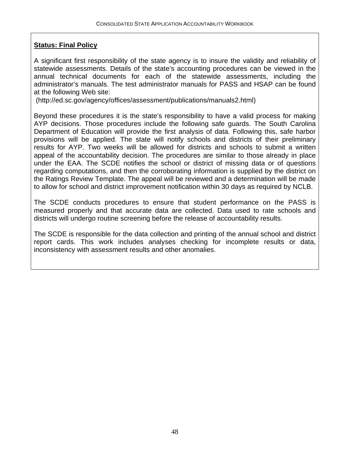#### **Status: Final Policy**

A significant first responsibility of the state agency is to insure the validity and reliability of statewide assessments. Details of the state's accounting procedures can be viewed in the annual technical documents for each of the statewide assessments, including the administrator's manuals. The test administrator manuals for PASS and HSAP can be found at the following Web site:

(http://ed.sc.gov/agency/offices/assessment/publications/manuals2.html)

Beyond these procedures it is the state's responsibility to have a valid process for making AYP decisions. Those procedures include the following safe guards. The South Carolina Department of Education will provide the first analysis of data. Following this, safe harbor provisions will be applied. The state will notify schools and districts of their preliminary results for AYP. Two weeks will be allowed for districts and schools to submit a written appeal of the accountability decision. The procedures are similar to those already in place under the EAA. The SCDE notifies the school or district of missing data or of questions regarding computations, and then the corroborating information is supplied by the district on the Ratings Review Template. The appeal will be reviewed and a determination will be made to allow for school and district improvement notification within 30 days as required by NCLB.

The SCDE conducts procedures to ensure that student performance on the PASS is measured properly and that accurate data are collected. Data used to rate schools and districts will undergo routine screening before the release of accountability results.

The SCDE is responsible for the data collection and printing of the annual school and district report cards. This work includes analyses checking for incomplete results or data, inconsistency with assessment results and other anomalies.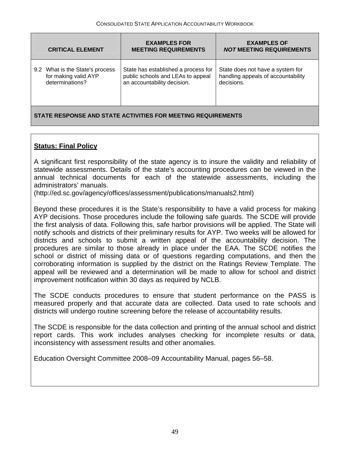| <b>CRITICAL ELEMENT</b>         | <b>EXAMPLES FOR</b><br><b>MEETING REQUIREMENTS</b> | <b>EXAMPLES OF</b><br><b>NOT MEETING REQUIREMENTS</b> |
|---------------------------------|----------------------------------------------------|-------------------------------------------------------|
| 9.2 What is the State's process | State has established a process for                | State does not have a system for                      |
| for making valid AYP            | public schools and LEAs to appeal                  | handling appeals of accountability                    |
| determinations?                 | an accountability decision.                        | decisions.                                            |

#### **STATE RESPONSE AND STATE ACTIVITIES FOR MEETING REQUIREMENTS**

#### **Status: Final Policy**

A significant first responsibility of the state agency is to insure the validity and reliability of statewide assessments. Details of the state's accounting procedures can be viewed in the annual technical documents for each of the statewide assessments, including the administrators' manuals.

(http://ed.sc.gov/agency/offices/assessment/publications/manuals2.html)

Beyond these procedures it is the State's responsibility to have a valid process for making AYP decisions. Those procedures include the following safe guards. The SCDE will provide the first analysis of data. Following this, safe harbor provisions will be applied. The State will notify schools and districts of their preliminary results for AYP. Two weeks will be allowed for districts and schools to submit a written appeal of the accountability decision. The procedures are similar to those already in place under the EAA. The SCDE notifies the school or district of missing data or of questions regarding computations, and then the corroborating information is supplied by the district on the Ratings Review Template. The appeal will be reviewed and a determination will be made to allow for school and district improvement notification within 30 days as required by NCLB.

The SCDE conducts procedures to ensure that student performance on the PASS is measured properly and that accurate data are collected. Data used to rate schools and districts will undergo routine screening before the release of accountability results.

The SCDE is responsible for the data collection and printing of the annual school and district report cards. This work includes analyses checking for incomplete results or data, inconsistency with assessment results and other anomalies.

Education Oversight Committee 2008–09 Accountability Manual, pages 56–58.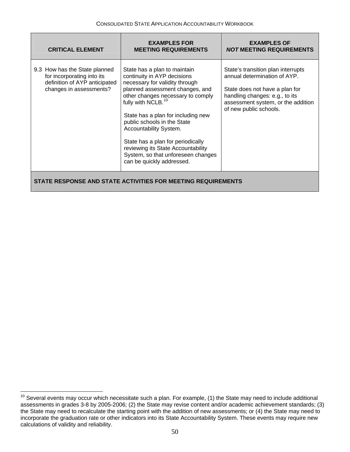<span id="page-50-0"></span>

| <b>CRITICAL ELEMENT</b>                                                                                                 | <b>EXAMPLES FOR</b><br><b>MEETING REQUIREMENTS</b>                                                                                                                                                                                                                                                                                                                                                                                                   | <b>EXAMPLES OF</b><br><i>NOT</i> MEETING REQUIREMENTS                                                                                                                                                  |
|-------------------------------------------------------------------------------------------------------------------------|------------------------------------------------------------------------------------------------------------------------------------------------------------------------------------------------------------------------------------------------------------------------------------------------------------------------------------------------------------------------------------------------------------------------------------------------------|--------------------------------------------------------------------------------------------------------------------------------------------------------------------------------------------------------|
| 9.3 How has the State planned<br>for incorporating into its<br>definition of AYP anticipated<br>changes in assessments? | State has a plan to maintain<br>continuity in AYP decisions<br>necessary for validity through<br>planned assessment changes, and<br>other changes necessary to comply<br>fully with NCLB. <sup>10</sup><br>State has a plan for including new<br>public schools in the State<br>Accountability System.<br>State has a plan for periodically<br>reviewing its State Accountability<br>System, so that unforeseen changes<br>can be quickly addressed. | State's transition plan interrupts<br>annual determination of AYP.<br>State does not have a plan for<br>handling changes: e.g., to its<br>assessment system, or the addition<br>of new public schools. |
| STATE RESPONSE AND STATE ACTIVITIES FOR MEETING REQUIREMENTS                                                            |                                                                                                                                                                                                                                                                                                                                                                                                                                                      |                                                                                                                                                                                                        |

 $\overline{\phantom{a}}$ 

 $10$  Several events may occur which necessitate such a plan. For example, (1) the State may need to include additional assessments in grades 3-8 by 2005-2006; (2) the State may revise content and/or academic achievement standards; (3) the State may need to recalculate the starting point with the addition of new assessments; or (4) the State may need to incorporate the graduation rate or other indicators into its State Accountability System. These events may require new calculations of validity and reliability.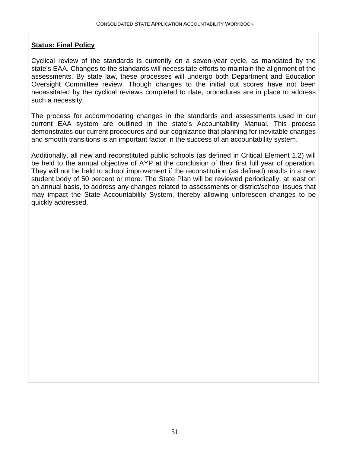#### **Status: Final Policy**

Cyclical review of the standards is currently on a seven-year cycle, as mandated by the state's EAA. Changes to the standards will necessitate efforts to maintain the alignment of the assessments. By state law, these processes will undergo both Department and Education Oversight Committee review. Though changes to the initial cut scores have not been necessitated by the cyclical reviews completed to date, procedures are in place to address such a necessity.

The process for accommodating changes in the standards and assessments used in our current EAA system are outlined in the state's Accountability Manual. This process demonstrates our current procedures and our cognizance that planning for inevitable changes and smooth transitions is an important factor in the success of an accountability system.

Additionally, all new and reconstituted public schools (as defined in Critical Element 1.2) will be held to the annual objective of AYP at the conclusion of their first full year of operation. They will not be held to school improvement if the reconstitution (as defined) results in a new student body of 50 percent or more. The State Plan will be reviewed periodically, at least on an annual basis, to address any changes related to assessments or district/school issues that may impact the State Accountability System, thereby allowing unforeseen changes to be quickly addressed.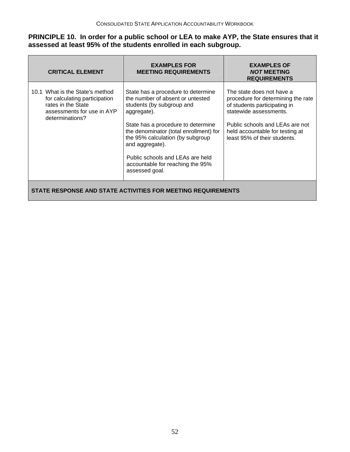#### **PRINCIPLE 10. In order for a public school or LEA to make AYP, the State ensures that it assessed at least 95% of the students enrolled in each subgroup.**

| <b>CRITICAL ELEMENT</b>                                                                                                                 | <b>EXAMPLES FOR</b><br><b>MEETING REQUIREMENTS</b>                                                                                                                                                                                                                                                                                                  | <b>EXAMPLES OF</b><br><b>NOT MEETING</b><br><b>REQUIREMENTS</b>                                                                                                                                                                 |
|-----------------------------------------------------------------------------------------------------------------------------------------|-----------------------------------------------------------------------------------------------------------------------------------------------------------------------------------------------------------------------------------------------------------------------------------------------------------------------------------------------------|---------------------------------------------------------------------------------------------------------------------------------------------------------------------------------------------------------------------------------|
| 10.1 What is the State's method<br>for calculating participation<br>rates in the State<br>assessments for use in AYP<br>determinations? | State has a procedure to determine<br>the number of absent or untested<br>students (by subgroup and<br>aggregate).<br>State has a procedure to determine<br>the denominator (total enrollment) for<br>the 95% calculation (by subgroup<br>and aggregate).<br>Public schools and LEAs are held<br>accountable for reaching the 95%<br>assessed goal. | The state does not have a<br>procedure for determining the rate<br>of students participating in<br>statewide assessments.<br>Public schools and LEAs are not<br>held accountable for testing at<br>least 95% of their students. |
| STATE RESPONSE AND STATE ACTIVITIES FOR MEETING REQUIREMENTS                                                                            |                                                                                                                                                                                                                                                                                                                                                     |                                                                                                                                                                                                                                 |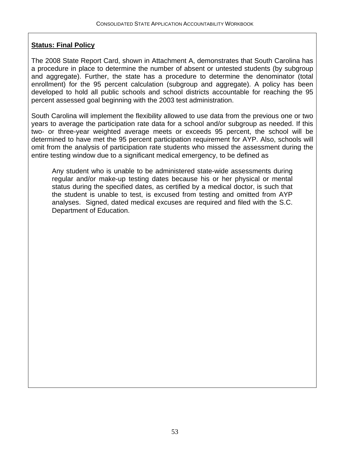#### **Status: Final Policy**

The 2008 State Report Card, shown in Attachment A, demonstrates that South Carolina has a procedure in place to determine the number of absent or untested students (by subgroup and aggregate). Further, the state has a procedure to determine the denominator (total enrollment) for the 95 percent calculation (subgroup and aggregate). A policy has been developed to hold all public schools and school districts accountable for reaching the 95 percent assessed goal beginning with the 2003 test administration.

South Carolina will implement the flexibility allowed to use data from the previous one or two years to average the participation rate data for a school and/or subgroup as needed. If this two- or three-year weighted average meets or exceeds 95 percent, the school will be determined to have met the 95 percent participation requirement for AYP. Also, schools will omit from the analysis of participation rate students who missed the assessment during the entire testing window due to a significant medical emergency, to be defined as

Any student who is unable to be administered state-wide assessments during regular and/or make-up testing dates because his or her physical or mental status during the specified dates, as certified by a medical doctor, is such that the student is unable to test, is excused from testing and omitted from AYP analyses. Signed, dated medical excuses are required and filed with the S.C. Department of Education.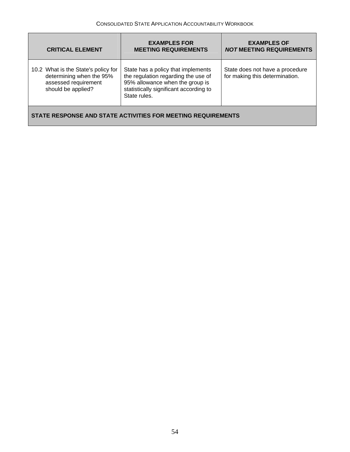| <b>CRITICAL ELEMENT</b>                                                                                       | <b>EXAMPLES FOR</b><br><b>MEETING REQUIREMENTS</b>                                                                                                                     | <b>EXAMPLES OF</b><br><b>NOT MEETING REQUIREMENTS</b>             |
|---------------------------------------------------------------------------------------------------------------|------------------------------------------------------------------------------------------------------------------------------------------------------------------------|-------------------------------------------------------------------|
| 10.2 What is the State's policy for<br>determining when the 95%<br>assessed requirement<br>should be applied? | State has a policy that implements<br>the regulation regarding the use of<br>95% allowance when the group is<br>statistically significant according to<br>State rules. | State does not have a procedure<br>for making this determination. |
| STATE RESPONSE AND STATE ACTIVITIES FOR MEETING REQUIREMENTS                                                  |                                                                                                                                                                        |                                                                   |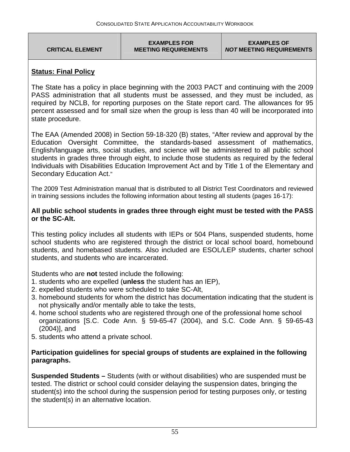**CRITICAL ELEMENT** 

**EXAMPLES OF**  *NOT* **MEETING REQUIREMENTS** 

#### **Status: Final Policy**

The State has a policy in place beginning with the 2003 PACT and continuing with the 2009 PASS administration that all students must be assessed, and they must be included, as required by NCLB, for reporting purposes on the State report card. The allowances for 95 percent assessed and for small size when the group is less than 40 will be incorporated into state procedure.

The EAA (Amended 2008) in Section 59-18-320 (B) states, "After review and approval by the Education Oversight Committee, the standards-based assessment of mathematics, English/language arts, social studies, and science will be administered to all public school students in grades three through eight, to include those students as required by the federal Individuals with Disabilities Education Improvement Act and by Title 1 of the Elementary and Secondary Education Act."

The 2009 Test Administration manual that is distributed to all District Test Coordinators and reviewed in training sessions includes the following information about testing all students (pages 16-17):

#### **All public school students in grades three through eight must be tested with the PASS or the SC-Alt.**

This testing policy includes all students with IEPs or 504 Plans, suspended students, home school students who are registered through the district or local school board, homebound students, and homebased students. Also included are ESOL/LEP students, charter school students, and students who are incarcerated.

Students who are **not** tested include the following:

- 1. students who are expelled (**unless** the student has an IEP),
- 2. expelled students who were scheduled to take SC-Alt,
- 3. homebound students for whom the district has documentation indicating that the student is not physically and/or mentally able to take the tests,
- 4. home school students who are registered through one of the professional home school organizations [S.C. Code Ann. § 59-65-47 (2004), and S.C. Code Ann. § 59-65-43 (2004)], and
- 5. students who attend a private school.

#### **Participation guidelines for special groups of students are explained in the following paragraphs.**

**Suspended Students –** Students (with or without disabilities) who are suspended must be tested. The district or school could consider delaying the suspension dates, bringing the student(s) into the school during the suspension period for testing purposes only, or testing the student(s) in an alternative location.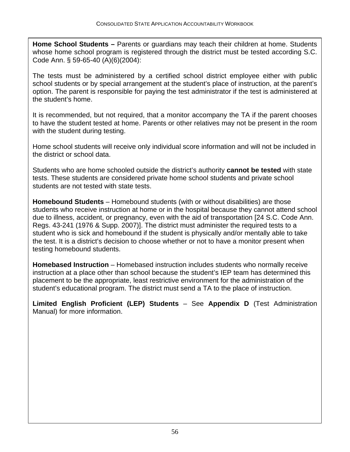**Home School Students –** Parents or guardians may teach their children at home. Students whose home school program is registered through the district must be tested according S.C. Code Ann. § 59-65-40 (A)(6)(2004):

The tests must be administered by a certified school district employee either with public school students or by special arrangement at the student's place of instruction, at the parent's option. The parent is responsible for paying the test administrator if the test is administered at the student's home.

It is recommended, but not required, that a monitor accompany the TA if the parent chooses to have the student tested at home. Parents or other relatives may not be present in the room with the student during testing.

Home school students will receive only individual score information and will not be included in the district or school data.

Students who are home schooled outside the district's authority **cannot be tested** with state tests. These students are considered private home school students and private school students are not tested with state tests.

**Homebound Students** – Homebound students (with or without disabilities) are those students who receive instruction at home or in the hospital because they cannot attend school due to illness, accident, or pregnancy, even with the aid of transportation [24 S.C. Code Ann. Regs. 43-241 (1976 & Supp. 2007)]. The district must administer the required tests to a student who is sick and homebound if the student is physically and/or mentally able to take the test. It is a district's decision to choose whether or not to have a monitor present when testing homebound students.

**Homebased Instruction** – Homebased instruction includes students who normally receive instruction at a place other than school because the student's IEP team has determined this placement to be the appropriate, least restrictive environment for the administration of the student's educational program. The district must send a TA to the place of instruction.

**Limited English Proficient (LEP) Students** – See **Appendix D** (Test Administration Manual) for more information.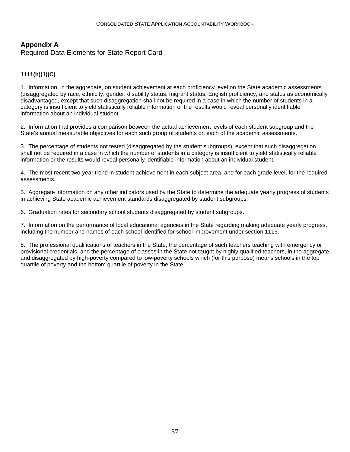#### **Appendix A**

Required Data Elements for State Report Card

#### **1111(h)(1)(C)**

1. Information, in the aggregate, on student achievement at each proficiency level on the State academic assessments (disaggregated by race, ethnicity, gender, disability status, migrant status, English proficiency, and status as economically disadvantaged, except that such disaggregation shall not be required in a case in which the number of students in a category is insufficient to yield statistically reliable information or the results would reveal personally identifiable information about an individual student.

2. Information that provides a comparison between the actual achievement levels of each student subgroup and the State's annual measurable objectives for each such group of students on each of the academic assessments.

3. The percentage of students not tested (disaggregated by the student subgroups), except that such disaggregation shall not be required in a case in which the number of students in a category is insufficient to yield statistically reliable information or the results would reveal personally identifiable information about an individual student.

4. The most recent two-year trend in student achievement in each subject area, and for each grade level, for the required assessments.

5. Aggregate information on any other indicators used by the State to determine the adequate yearly progress of students in achieving State academic achievement standards disaggregated by student subgroups.

6. Graduation rates for secondary school students disaggregated by student subgroups.

7. Information on the performance of local educational agencies in the State regarding making adequate yearly progress, including the number and names of each school identified for school improvement under section 1116.

8. The professional qualifications of teachers in the State, the percentage of such teachers teaching with emergency or provisional credentials, and the percentage of classes in the State not taught by highly qualified teachers, in the aggregate and disaggregated by high-poverty compared to low-poverty schools which (for this purpose) means schools in the top quartile of poverty and the bottom quartile of poverty in the State.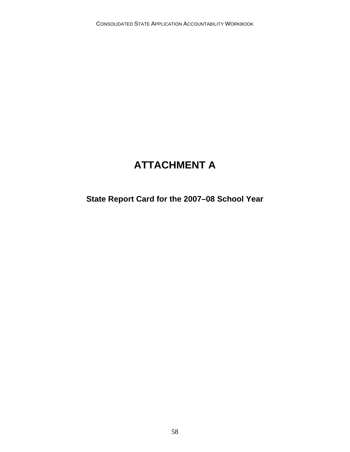## **ATTACHMENT A**

## **State Report Card for the 2007–08 School Year**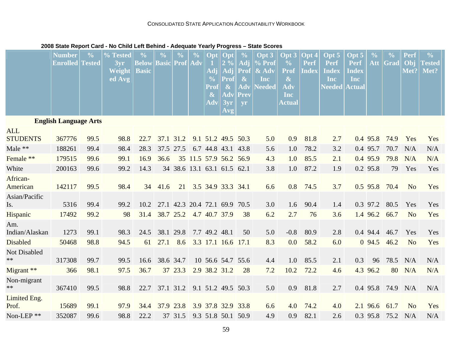#### CONSOLIDATED STATE APPLICATION ACCOUNTABILITY WORKBOOK

|                               | <b>Number</b><br><b>Enrolled Tested</b> | $\frac{0}{0}$ | % Tested<br>3yr<br>Weight<br>ed Avg | $\frac{0}{0}$<br><b>Below</b><br><b>Basic</b> | $\frac{0}{0}$<br><b>Basic Prof Adv</b> | $\frac{0}{0}$                 | $\frac{0}{0}$ | Opt<br>Adj<br>$\frac{0}{0}$<br>Prof<br>$\boldsymbol{\&}$<br>Adv | Opt<br>2%<br>Adj<br><b>Prof</b><br>$\boldsymbol{\&}$<br>Adv<br>3yr<br>Avg | $\frac{0}{0}$<br>Adj<br>Prof<br>$\boldsymbol{\&}$<br>Adv<br>Prev<br>yr | Opt <sub>3</sub><br>$%$ Prof<br>& Adv<br><b>Inc</b><br><b>Needed</b> | Opt 3<br>$\frac{6}{10}$<br>Prof<br>$\boldsymbol{\&}$<br>Adv<br>Inc<br>Actual | Opt 4<br>Perf<br><b>Index</b> | Opt <sub>5</sub><br>Perf<br><b>Index</b><br>Inc<br>$\bf Needed \,\vert \,$ | Opt 5<br><b>Perf</b><br><b>Index</b><br>Inc<br><b>Actual</b> | $\frac{0}{0}$<br>Att | $\frac{0}{0}$<br>Grad | Perf<br>Obj<br>Met? | $\frac{0}{0}$<br><b>Tested</b><br>Met? |
|-------------------------------|-----------------------------------------|---------------|-------------------------------------|-----------------------------------------------|----------------------------------------|-------------------------------|---------------|-----------------------------------------------------------------|---------------------------------------------------------------------------|------------------------------------------------------------------------|----------------------------------------------------------------------|------------------------------------------------------------------------------|-------------------------------|----------------------------------------------------------------------------|--------------------------------------------------------------|----------------------|-----------------------|---------------------|----------------------------------------|
| <b>English Language Arts</b>  |                                         |               |                                     |                                               |                                        |                               |               |                                                                 |                                                                           |                                                                        |                                                                      |                                                                              |                               |                                                                            |                                                              |                      |                       |                     |                                        |
| <b>ALL</b><br><b>STUDENTS</b> | 367776                                  | 99.5          | 98.8                                | 22.7                                          | 37.1 31.2                              |                               |               | 9.1 51.2 49.5 50.3                                              |                                                                           |                                                                        | 5.0                                                                  | 0.9                                                                          | 81.8                          | 2.7                                                                        |                                                              | $0.4$ 95.8           | 74.9                  | Yes                 | Yes                                    |
| Male **                       | 188261                                  | 99.4          | 98.4                                | 28.3                                          | 37.5 27.5                              |                               |               | 6.7 44.8 43.1 43.8                                              |                                                                           |                                                                        | 5.6                                                                  | 1.0                                                                          | 78.2                          | 3.2                                                                        |                                                              | 0.4 95.7             | 70.7                  | N/A                 | N/A                                    |
| Female **                     | 179515                                  | 99.6          | 99.1                                | 16.9                                          | 36.6                                   |                               |               | 35 11.5 57.9 56.2 56.9                                          |                                                                           |                                                                        | 4.3                                                                  | 1.0                                                                          | 85.5                          | 2.1                                                                        |                                                              | 0.4 95.9             | 79.8                  | N/A                 | N/A                                    |
| White                         | 200163                                  | 99.6          | 99.2                                | 14.3                                          |                                        | 34 38.6 13.1 63.1 61.5 62.1   |               |                                                                 |                                                                           |                                                                        | 3.8                                                                  | 1.0                                                                          | 87.2                          | 1.9                                                                        |                                                              | 0.2 95.8             | 79                    | Yes                 | Yes                                    |
| African-<br>American          | 142117                                  | 99.5          | 98.4                                | 34                                            | 41.6                                   | 21                            |               | 3.5 34.9 33.3 34.1                                              |                                                                           |                                                                        | 6.6                                                                  | 0.8                                                                          | 74.5                          | 3.7                                                                        |                                                              | $0.5$ 95.8           | 70.4                  | N <sub>o</sub>      | Yes                                    |
| Asian/Pacific<br>Is.          | 5316                                    | 99.4          | 99.2                                | 10.2                                          |                                        | 27.1 42.3 20.4 72.1 69.9 70.5 |               |                                                                 |                                                                           |                                                                        | 3.0                                                                  | 1.6                                                                          | 90.4                          | 1.4                                                                        |                                                              | 0.3 97.2             | 80.5                  | Yes                 | Yes                                    |
| Hispanic                      | 17492                                   | 99.2          | 98                                  | 31.4                                          |                                        | 38.7 25.2                     |               | 4.7 40.7 37.9                                                   |                                                                           | 38                                                                     | 6.2                                                                  | 2.7                                                                          | 76                            | 3.6                                                                        |                                                              | 1.4 96.2             | 66.7                  | N <sub>o</sub>      | Yes                                    |
| Am.<br>Indian/Alaskan         | 1273                                    | 99.1          | 98.3                                | 24.5                                          | 38.1 29.8                              |                               |               | 7.7 49.2 48.1                                                   |                                                                           | 50                                                                     | 5.0                                                                  | $-0.8$                                                                       | 80.9                          | 2.8                                                                        |                                                              | 0.4 94.4             | 46.7                  | Yes                 | Yes                                    |
| Disabled                      | 50468                                   | 98.8          | 94.5                                | 61                                            | 27.1                                   | 8.6                           |               | 3.3 17.1 16.6 17.1                                              |                                                                           |                                                                        | 8.3                                                                  | 0.0                                                                          | 58.2                          | 6.0                                                                        |                                                              | $0\,94.5$            | 46.2                  | N <sub>o</sub>      | Yes                                    |
| <b>Not Disabled</b><br>**     | 317308                                  | 99.7          | 99.5                                | 16.6                                          | 38.6 34.7                              |                               |               | 10 56.6 54.7 55.6                                               |                                                                           |                                                                        | 4.4                                                                  | 1.0                                                                          | 85.5                          | 2.1                                                                        | 0.3                                                          | 96                   | 78.5                  | N/A                 | N/A                                    |
| Migrant **                    | 366                                     | 98.1          | 97.5                                | 36.7                                          |                                        | 37 23.3                       |               | 2.9 38.2 31.2                                                   |                                                                           | 28                                                                     | 7.2                                                                  | 10.2                                                                         | 72.2                          | 4.6                                                                        |                                                              | 4.3 96.2             | 80                    | N/A                 | N/A                                    |
| Non-migrant<br>**             | 367410                                  | 99.5          | 98.8                                | 22.7                                          |                                        | 37.1 31.2 9.1 51.2 49.5 50.3  |               |                                                                 |                                                                           |                                                                        | 5.0                                                                  | 0.9                                                                          | 81.8                          | 2.7                                                                        |                                                              |                      | 0.4 95.8 74.9         | N/A                 | N/A                                    |
| Limited Eng.<br>Prof.         | 15689                                   | 99.1          | 97.9                                | 34.4                                          | 37.9 23.8                              |                               |               | 3.9 37.8 32.9 33.8                                              |                                                                           |                                                                        | 6.6                                                                  | 4.0                                                                          | 74.2                          | 4.0                                                                        |                                                              | 2.1 96.6             | 61.7                  | N <sub>o</sub>      | Yes                                    |
| Non-LEP $**$                  | 352087                                  | 99.6          | 98.8                                | 22.2                                          |                                        | 37 31.5                       |               | 9.3 51.8 50.1 50.9                                              |                                                                           |                                                                        | 4.9                                                                  | 0.9                                                                          | 82.1                          | 2.6                                                                        |                                                              | 0.3 95.8             | 75.2                  | N/A                 | N/A                                    |

#### **2008 State Report Card - No Child Left Behind - Adequate Yearly Progress – State Scores**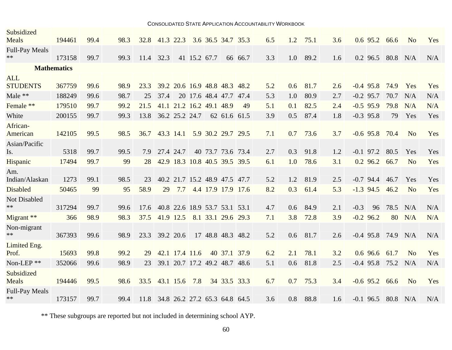| <b>CONSOLIDATED STATE APPLICATION ACCOUNTABILITY WORKBOOK</b> |        |      |      |      |                                    |                               |              |  |                        |         |     |     |      |     |        |             |                      |                |     |
|---------------------------------------------------------------|--------|------|------|------|------------------------------------|-------------------------------|--------------|--|------------------------|---------|-----|-----|------|-----|--------|-------------|----------------------|----------------|-----|
| Subsidized<br>Meals                                           | 194461 | 99.4 | 98.3 | 32.8 | 41.3 22.3                          |                               |              |  | 3.6 36.5 34.7 35.3     |         | 6.5 | 1.2 | 75.1 | 3.6 |        | $0.6$ 95.2  | 66.6                 | N <sub>o</sub> | Yes |
| <b>Full-Pay Meals</b><br>$**$                                 | 173158 | 99.7 | 99.3 | 11.4 | 32.3                               |                               | 41 15.2 67.7 |  |                        | 66 66.7 | 3.3 | 1.0 | 89.2 | 1.6 |        | 0.2 96.5    | 80.8                 | N/A            | N/A |
| <b>Mathematics</b>                                            |        |      |      |      |                                    |                               |              |  |                        |         |     |     |      |     |        |             |                      |                |     |
| <b>ALL</b><br><b>STUDENTS</b>                                 | 367759 | 99.6 | 98.9 | 23.3 |                                    | 39.2 20.6 16.9 48.8 48.3 48.2 |              |  |                        |         | 5.2 | 0.6 | 81.7 | 2.6 |        | $-0.4$ 95.8 | 74.9                 | Yes            | Yes |
| Male **                                                       | 188249 | 99.6 | 98.7 | 25   | 37.4                               |                               |              |  | 20 17.6 48.4 47.7 47.4 |         | 5.3 | 1.0 | 80.9 | 2.7 |        | $-0.2$ 95.7 | 70.7                 | N/A            | N/A |
| Female **                                                     | 179510 | 99.7 | 99.2 | 21.5 |                                    | 41.1 21.2 16.2 49.1 48.9      |              |  |                        | 49      | 5.1 | 0.1 | 82.5 | 2.4 |        | $-0.5$ 95.9 | 79.8                 | N/A            | N/A |
| White                                                         | 200155 | 99.7 | 99.3 | 13.8 |                                    | 36.2 25.2 24.7                |              |  | 62 61.6 61.5           |         | 3.9 | 0.5 | 87.4 | 1.8 |        | $-0.3$ 95.8 | 79                   | Yes            | Yes |
| African-<br>American                                          | 142105 | 99.5 | 98.5 | 36.7 | 43.3 14.1                          |                               |              |  | 5.9 30.2 29.7 29.5     |         | 7.1 | 0.7 | 73.6 | 3.7 |        | $-0.6$ 95.8 | 70.4                 | N <sub>o</sub> | Yes |
| Asian/Pacific<br>Is.                                          | 5318   | 99.7 | 99.5 | 7.9  | 27.4 24.7                          |                               |              |  | 40 73.7 73.6 73.4      |         | 2.7 | 0.3 | 91.8 | 1.2 |        | $-0.1$ 97.2 | 80.5                 | Yes            | Yes |
| Hispanic                                                      | 17494  | 99.7 | 99   | 28   |                                    | 42.9 18.3 10.8 40.5 39.5 39.5 |              |  |                        |         | 6.1 | 1.0 | 78.6 | 3.1 |        | $0.2$ 96.2  | 66.7                 | N <sub>o</sub> | Yes |
| Am.<br>Indian/Alaskan                                         | 1273   | 99.1 | 98.5 | 23   |                                    | 40.2 21.7 15.2 48.9 47.5 47.7 |              |  |                        |         | 5.2 | 1.2 | 81.9 | 2.5 |        | $-0.7$ 94.4 | 46.7                 | Yes            | Yes |
| Disabled                                                      | 50465  | 99   | 95   | 58.9 | 29                                 | 7.7                           |              |  | 4.4 17.9 17.9 17.6     |         | 8.2 | 0.3 | 61.4 | 5.3 |        | $-1.3$ 94.5 | 46.2                 | N <sub>o</sub> | Yes |
| <b>Not Disabled</b><br>$**$                                   | 317294 | 99.7 | 99.6 | 17.6 |                                    | 40.8 22.6 18.9 53.7 53.1 53.1 |              |  |                        |         | 4.7 | 0.6 | 84.9 | 2.1 | $-0.3$ | 96          | 78.5                 | N/A            | N/A |
| Migrant **                                                    | 366    | 98.9 | 98.3 | 37.5 | 41.9 12.5                          |                               |              |  | 8.1 33.1 29.6 29.3     |         | 7.1 | 3.8 | 72.8 | 3.9 |        | $-0.2$ 96.2 | 80                   | N/A            | N/A |
| Non-migrant<br>$**$                                           | 367393 | 99.6 | 98.9 | 23.3 | 39.2 20.6                          |                               |              |  | 17 48.8 48.3 48.2      |         | 5.2 | 0.6 | 81.7 | 2.6 |        |             | $-0.4$ 95.8 74.9     | N/A            | N/A |
| Limited Eng.<br>Prof.                                         | 15693  | 99.8 | 99.2 | 29   |                                    | 42.1 17.4 11.6                |              |  | 40 37.1 37.9           |         | 6.2 | 2.1 | 78.1 | 3.2 |        | $0.6$ 96.6  | 61.7                 | N <sub>o</sub> | Yes |
| Non-LEP **                                                    | 352066 | 99.6 | 98.9 | 23   |                                    | 39.1 20.7 17.2 49.2 48.7 48.6 |              |  |                        |         | 5.1 | 0.6 | 81.8 | 2.5 |        | $-0.4$ 95.8 | 75.2                 | N/A            | N/A |
| Subsidized<br>Meals                                           | 194446 | 99.5 | 98.6 | 33.5 | 43.1 15.6                          |                               | 7.8          |  | 34 33.5 33.3           |         | 6.7 | 0.7 | 75.3 | 3.4 |        | $-0.6$ 95.2 | 66.6                 | N <sub>o</sub> | Yes |
| <b>Full-Pay Meals</b><br>**                                   | 173157 | 99.7 | 99.4 |      | 11.8 34.8 26.2 27.2 65.3 64.8 64.5 |                               |              |  |                        |         | 3.6 | 0.8 | 88.8 | 1.6 |        |             | $-0.1$ 96.5 80.8 N/A |                | N/A |

\*\* These subgroups are reported but not included in determining school AYP.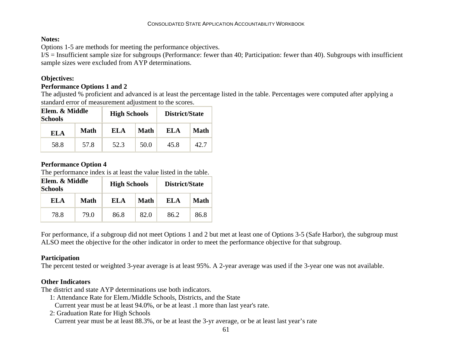#### **Notes:**

Options 1-5 are methods for meeting the performance objectives.

 $I/S =$  Insufficient sample size for subgroups (Performance: fewer than 40; Participation: fewer than 40). Subgroups with insufficient sample sizes were excluded from AYP determinations.

#### **Objectives:**

#### **Performance Options 1 and 2**

The adjusted % proficient and advanced is at least the percentage listed in the table. Percentages were computed after applying a standard error of measurement adjustment to the scores.

| Elem. & Middle<br><b>Schools</b> |      | <b>High Schools</b> |      | District/State |      |  |  |  |
|----------------------------------|------|---------------------|------|----------------|------|--|--|--|
| EL A                             | Math | EL A                | Math | EL A           | Math |  |  |  |
| 58.8                             | 57.8 | 52.3                | 50.0 | 45.8           | 42.7 |  |  |  |

#### **Performance Option 4**

The performance index is at least the value listed in the table.

| Elem. & Middle<br><b>Schools</b> |      | <b>High Schools</b> |      | District/State |      |  |  |  |
|----------------------------------|------|---------------------|------|----------------|------|--|--|--|
| EL A                             | Math | EL A                | Math | EL A           | Math |  |  |  |
| 78.8                             | 79.0 | 86.8                | 82.0 | 86.2           | 86.8 |  |  |  |

For performance, if a subgroup did not meet Options 1 and 2 but met at least one of Options 3-5 (Safe Harbor), the subgroup must ALSO meet the objective for the other indicator in order to meet the performance objective for that subgroup.

#### **Participation**

The percent tested or weighted 3-year average is at least 95%. A 2-year average was used if the 3-year one was not available.

#### **Other Indicators**

The district and state AYP determinations use both indicators.

1: Attendance Rate for Elem./Middle Schools, Districts, and the State

- Current year must be at least 94.0%, or be at least .1 more than last year's rate.
- 2: Graduation Rate for High Schools

Current year must be at least 88.3%, or be at least the 3-yr average, or be at least last year's rate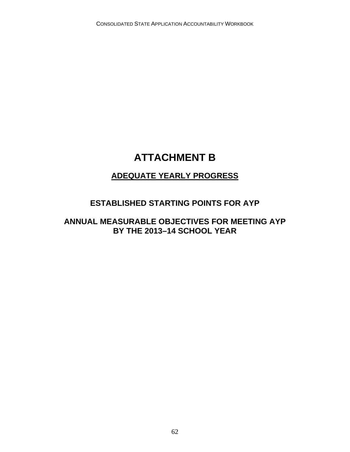## **ATTACHMENT B**

## **ADEQUATE YEARLY PROGRESS**

### **ESTABLISHED STARTING POINTS FOR AYP**

### **ANNUAL MEASURABLE OBJECTIVES FOR MEETING AYP BY THE 2013–14 SCHOOL YEAR**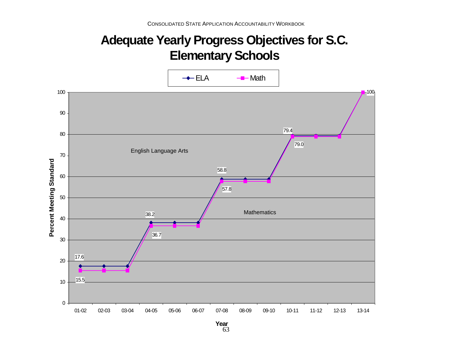# **Adequate Yearly Progress Objectives for S.C. Elementary Schools**



63 **Year**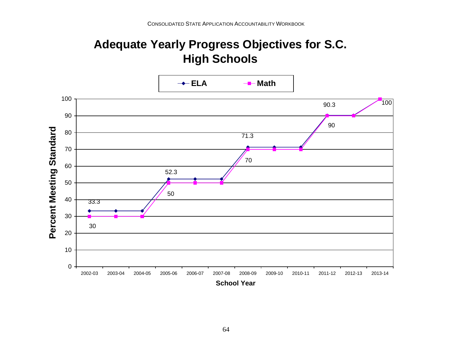# **Adequate Yearly Progress Objectives for S.C. High Schools**

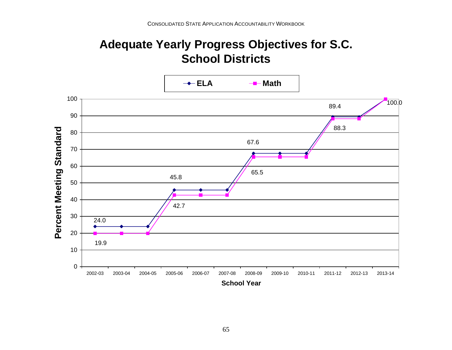# **Adequate Yearly Progress Objectives for S.C. School Districts**

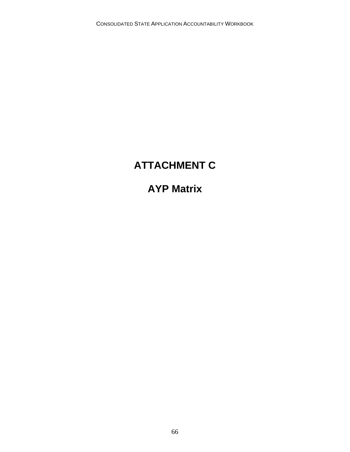## **ATTACHMENT C**

## **AYP Matrix**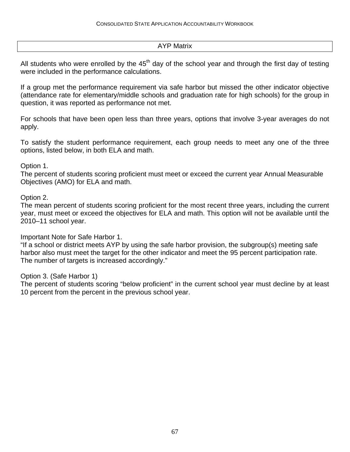#### AYP Matrix

All students who were enrolled by the  $45<sup>th</sup>$  day of the school year and through the first day of testing were included in the performance calculations.

If a group met the performance requirement via safe harbor but missed the other indicator objective (attendance rate for elementary/middle schools and graduation rate for high schools) for the group in question, it was reported as performance not met.

For schools that have been open less than three years, options that involve 3-year averages do not apply.

To satisfy the student performance requirement, each group needs to meet any one of the three options, listed below, in both ELA and math.

#### Option 1.

The percent of students scoring proficient must meet or exceed the current year Annual Measurable Objectives (AMO) for ELA and math.

#### Option 2.

The mean percent of students scoring proficient for the most recent three years, including the current year, must meet or exceed the objectives for ELA and math. This option will not be available until the 2010–11 school year.

Important Note for Safe Harbor 1.

"If a school or district meets AYP by using the safe harbor provision, the subgroup(s) meeting safe harbor also must meet the target for the other indicator and meet the 95 percent participation rate. The number of targets is increased accordingly."

#### Option 3. (Safe Harbor 1)

The percent of students scoring "below proficient" in the current school year must decline by at least 10 percent from the percent in the previous school year.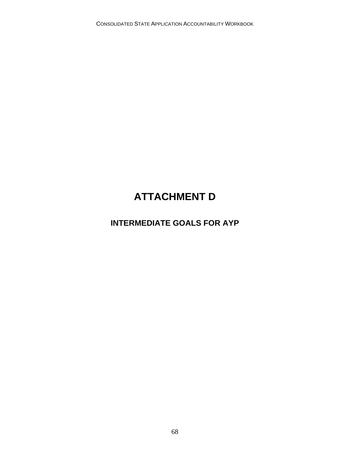## **ATTACHMENT D**

## **INTERMEDIATE GOALS FOR AYP**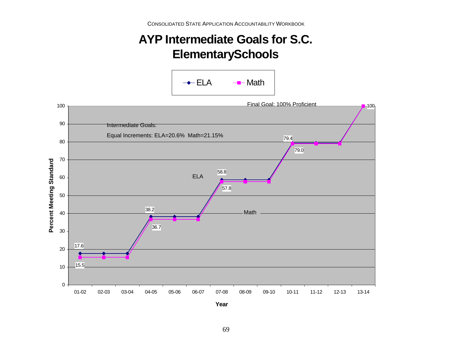# **AYP Intermediate Goals for S.C. ElementarySchools**





**Year**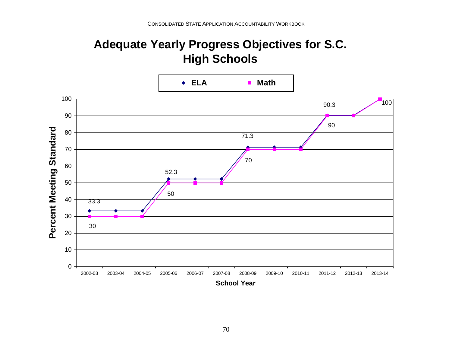# **Adequate Yearly Progress Objectives for S.C. High Schools**